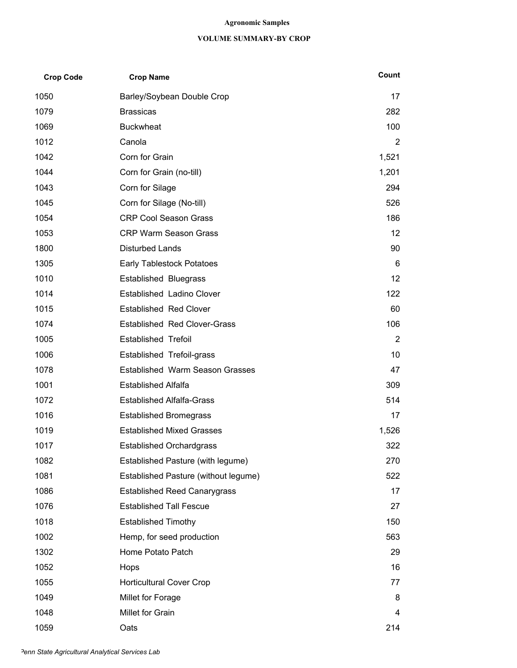### **Agronomic Samples**

### **VOLUME SUMMARY-BY CROP**

| <b>Crop Code</b> | <b>Crop Name</b>                       | Count           |
|------------------|----------------------------------------|-----------------|
| 1050             | Barley/Soybean Double Crop             | 17              |
| 1079             | <b>Brassicas</b>                       | 282             |
| 1069             | <b>Buckwheat</b>                       | 100             |
| 1012             | Canola                                 | 2               |
| 1042             | Corn for Grain                         | 1,521           |
| 1044             | Corn for Grain (no-till)               | 1,201           |
| 1043             | Corn for Silage                        | 294             |
| 1045             | Corn for Silage (No-till)              | 526             |
| 1054             | <b>CRP Cool Season Grass</b>           | 186             |
| 1053             | <b>CRP Warm Season Grass</b>           | 12 <sup>°</sup> |
| 1800             | <b>Disturbed Lands</b>                 | 90              |
| 1305             | <b>Early Tablestock Potatoes</b>       | 6               |
| 1010             | <b>Established Bluegrass</b>           | 12 <sup>°</sup> |
| 1014             | Established Ladino Clover              | 122             |
| 1015             | <b>Established Red Clover</b>          | 60              |
| 1074             | <b>Established Red Clover-Grass</b>    | 106             |
| 1005             | <b>Established Trefoil</b>             | $\overline{2}$  |
| 1006             | Established Trefoil-grass              | 10              |
| 1078             | <b>Established Warm Season Grasses</b> | 47              |
| 1001             | <b>Established Alfalfa</b>             | 309             |
| 1072             | <b>Established Alfalfa-Grass</b>       | 514             |
| 1016             | <b>Established Bromegrass</b>          | 17              |
| 1019             | <b>Established Mixed Grasses</b>       | 1,526           |
| 1017             | <b>Established Orchardgrass</b>        | 322             |
| 1082             | Established Pasture (with legume)      | 270             |
| 1081             | Established Pasture (without legume)   | 522             |
| 1086             | <b>Established Reed Canarygrass</b>    | 17              |
| 1076             | <b>Established Tall Fescue</b>         | 27              |
| 1018             | <b>Established Timothy</b>             | 150             |
| 1002             | Hemp, for seed production              | 563             |
| 1302             | Home Potato Patch                      | 29              |
| 1052             | Hops                                   | 16              |
| 1055             | <b>Horticultural Cover Crop</b>        | 77              |
| 1049             | Millet for Forage                      | 8               |
| 1048             | Millet for Grain                       | 4               |
| 1059             | Oats                                   | 214             |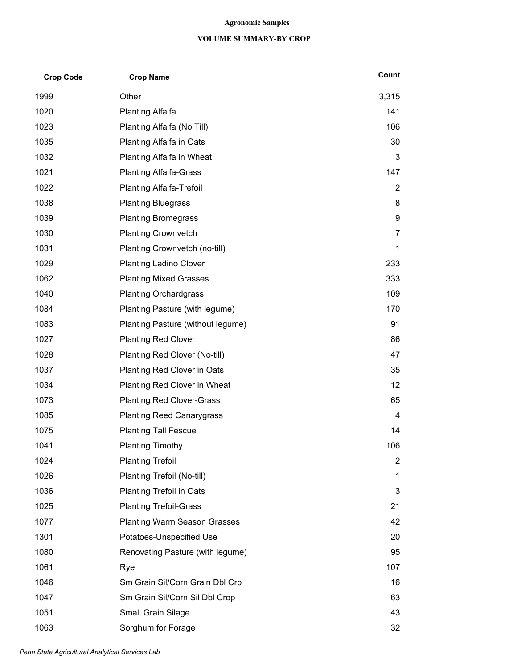### **Agronomic Samples**

### **VOLUME SUMMARY-BY CROP**

| <b>Crop Code</b> | <b>Crop Name</b>                    | Count          |
|------------------|-------------------------------------|----------------|
| 1999             | Other                               | 3,315          |
| 1020             | <b>Planting Alfalfa</b>             | 141            |
| 1023             | Planting Alfalfa (No Till)          | 106            |
| 1035             | <b>Planting Alfalfa in Oats</b>     | 30             |
| 1032             | Planting Alfalfa in Wheat           | 3              |
| 1021             | <b>Planting Alfalfa-Grass</b>       | 147            |
| 1022             | <b>Planting Alfalfa-Trefoil</b>     | 2              |
| 1038             | <b>Planting Bluegrass</b>           | 8              |
| 1039             | <b>Planting Bromegrass</b>          | 9              |
| 1030             | <b>Planting Crownvetch</b>          | 7              |
| 1031             | Planting Crownvetch (no-till)       | 1              |
| 1029             | <b>Planting Ladino Clover</b>       | 233            |
| 1062             | <b>Planting Mixed Grasses</b>       | 333            |
| 1040             | <b>Planting Orchardgrass</b>        | 109            |
| 1084             | Planting Pasture (with legume)      | 170            |
| 1083             | Planting Pasture (without legume)   | 91             |
| 1027             | <b>Planting Red Clover</b>          | 86             |
| 1028             | Planting Red Clover (No-till)       | 47             |
| 1037             | Planting Red Clover in Oats         | 35             |
| 1034             | Planting Red Clover in Wheat        | 12             |
| 1073             | <b>Planting Red Clover-Grass</b>    | 65             |
| 1085             | <b>Planting Reed Canarygrass</b>    | 4              |
| 1075             | <b>Planting Tall Fescue</b>         | 14             |
| 1041             | <b>Planting Timothy</b>             | 106            |
| 1024             | <b>Planting Trefoil</b>             | $\overline{2}$ |
| 1026             | Planting Trefoil (No-till)          | 1              |
| 1036             | <b>Planting Trefoil in Oats</b>     | 3              |
| 1025             | <b>Planting Trefoil-Grass</b>       | 21             |
| 1077             | <b>Planting Warm Season Grasses</b> | 42             |
| 1301             | Potatoes-Unspecified Use            | 20             |
| 1080             | Renovating Pasture (with legume)    | 95             |
| 1061             | Rye                                 | 107            |
| 1046             | Sm Grain Sil/Corn Grain Dbl Crp     | 16             |
| 1047             | Sm Grain Sil/Corn Sil Dbl Crop      | 63             |
| 1051             | Small Grain Silage                  | 43             |
| 1063             | Sorghum for Forage                  | 32             |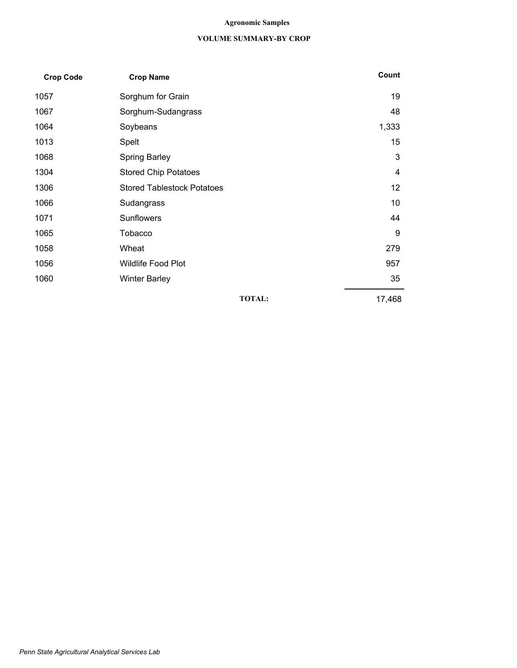### **Agronomic Samples**

### **VOLUME SUMMARY-BY CROP**

| <b>Crop Code</b> | <b>Crop Name</b>                  | Count  |
|------------------|-----------------------------------|--------|
| 1057             | Sorghum for Grain                 | 19     |
| 1067             | Sorghum-Sudangrass                | 48     |
| 1064             | Soybeans                          | 1,333  |
| 1013             | Spelt                             | 15     |
| 1068             | <b>Spring Barley</b>              | 3      |
| 1304             | <b>Stored Chip Potatoes</b>       | 4      |
| 1306             | <b>Stored Tablestock Potatoes</b> | 12     |
| 1066             | Sudangrass                        | 10     |
| 1071             | Sunflowers                        | 44     |
| 1065             | Tobacco                           | 9      |
| 1058             | Wheat                             | 279    |
| 1056             | <b>Wildlife Food Plot</b>         | 957    |
| 1060             | <b>Winter Barley</b>              | 35     |
|                  | <b>TOTAL:</b>                     | 17,468 |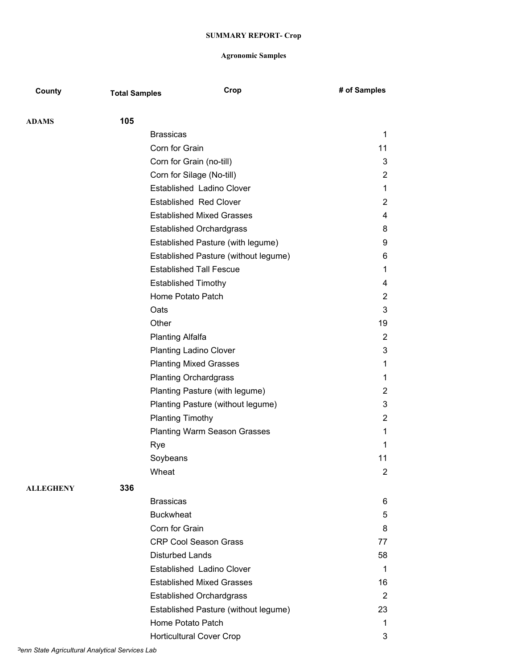| County           | <b>Total Samples</b> | Crop                                 | # of Samples   |
|------------------|----------------------|--------------------------------------|----------------|
| ADAMS            | 105                  |                                      |                |
|                  |                      | <b>Brassicas</b>                     | 1              |
|                  |                      | Corn for Grain                       | 11             |
|                  |                      | Corn for Grain (no-till)             | 3              |
|                  |                      | Corn for Silage (No-till)            | 2              |
|                  |                      | Established Ladino Clover            | 1              |
|                  |                      | <b>Established Red Clover</b>        | 2              |
|                  |                      | <b>Established Mixed Grasses</b>     | 4              |
|                  |                      | <b>Established Orchardgrass</b>      | 8              |
|                  |                      | Established Pasture (with legume)    | 9              |
|                  |                      | Established Pasture (without legume) | 6              |
|                  |                      | <b>Established Tall Fescue</b>       | 1              |
|                  |                      | <b>Established Timothy</b>           | 4              |
|                  |                      | Home Potato Patch                    | 2              |
|                  |                      | Oats                                 | 3              |
|                  |                      | Other                                | 19             |
|                  |                      | <b>Planting Alfalfa</b>              | 2              |
|                  |                      | <b>Planting Ladino Clover</b>        | 3              |
|                  |                      | <b>Planting Mixed Grasses</b>        | 1              |
|                  |                      | <b>Planting Orchardgrass</b>         | 1              |
|                  |                      | Planting Pasture (with legume)       | $\overline{2}$ |
|                  |                      | Planting Pasture (without legume)    | 3              |
|                  |                      | <b>Planting Timothy</b>              | 2              |
|                  |                      | <b>Planting Warm Season Grasses</b>  | 1              |
|                  |                      | Rye                                  | 1              |
|                  |                      | Soybeans                             | 11             |
|                  |                      | Wheat                                | $\overline{2}$ |
| <b>ALLEGHENY</b> | 336                  |                                      |                |
|                  |                      | <b>Brassicas</b>                     | 6              |
|                  |                      | <b>Buckwheat</b>                     | 5              |
|                  |                      | Corn for Grain                       | 8              |
|                  |                      | <b>CRP Cool Season Grass</b>         | 77             |
|                  |                      | <b>Disturbed Lands</b>               | 58             |
|                  |                      | Established Ladino Clover            | 1              |
|                  |                      | <b>Established Mixed Grasses</b>     | 16             |
|                  |                      | <b>Established Orchardgrass</b>      | 2              |
|                  |                      | Established Pasture (without legume) | 23             |
|                  |                      | Home Potato Patch                    | 1              |
|                  |                      | <b>Horticultural Cover Crop</b>      | 3              |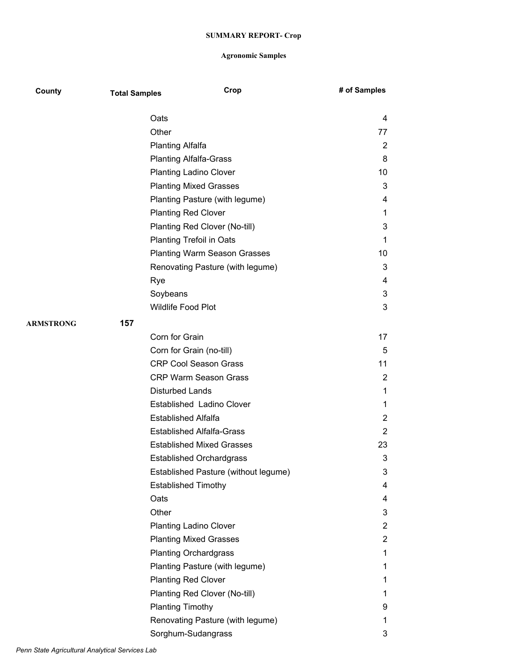| County    | <b>Total Samples</b> | Crop                                 | # of Samples   |
|-----------|----------------------|--------------------------------------|----------------|
|           | Oats                 |                                      | 4              |
|           | Other                |                                      | 77             |
|           |                      | <b>Planting Alfalfa</b>              | 2              |
|           |                      | <b>Planting Alfalfa-Grass</b>        | 8              |
|           |                      | <b>Planting Ladino Clover</b>        | 10             |
|           |                      | <b>Planting Mixed Grasses</b>        | 3              |
|           |                      | Planting Pasture (with legume)       | 4              |
|           |                      | <b>Planting Red Clover</b>           | 1              |
|           |                      | Planting Red Clover (No-till)        | 3              |
|           |                      | <b>Planting Trefoil in Oats</b>      | 1              |
|           |                      | <b>Planting Warm Season Grasses</b>  | 10             |
|           |                      | Renovating Pasture (with legume)     | 3              |
|           | Rye                  |                                      | 4              |
|           |                      | Soybeans                             | 3              |
|           |                      | Wildlife Food Plot                   | 3              |
| ARMSTRONG | 157                  |                                      |                |
|           |                      | Corn for Grain                       | 17             |
|           |                      | Corn for Grain (no-till)             | 5              |
|           |                      | <b>CRP Cool Season Grass</b>         | 11             |
|           |                      | <b>CRP Warm Season Grass</b>         | $\overline{2}$ |
|           |                      | <b>Disturbed Lands</b>               | 1              |
|           |                      | Established Ladino Clover            | 1              |
|           |                      | <b>Established Alfalfa</b>           | $\overline{2}$ |
|           |                      | <b>Established Alfalfa-Grass</b>     | $\overline{2}$ |
|           |                      | <b>Established Mixed Grasses</b>     | 23             |
|           |                      | <b>Established Orchardgrass</b>      | 3              |
|           |                      | Established Pasture (without legume) | 3              |
|           |                      | <b>Established Timothy</b>           | 4              |
|           | Oats                 |                                      | 4              |
|           | Other                |                                      | 3              |
|           |                      | <b>Planting Ladino Clover</b>        | $\overline{2}$ |
|           |                      | <b>Planting Mixed Grasses</b>        | $\overline{2}$ |
|           |                      | <b>Planting Orchardgrass</b>         | 1              |
|           |                      | Planting Pasture (with legume)       | 1              |
|           |                      | <b>Planting Red Clover</b>           | 1              |
|           |                      | Planting Red Clover (No-till)        | 1              |
|           |                      | <b>Planting Timothy</b>              | 9              |
|           |                      | Renovating Pasture (with legume)     | 1              |
|           |                      | Sorghum-Sudangrass                   | 3              |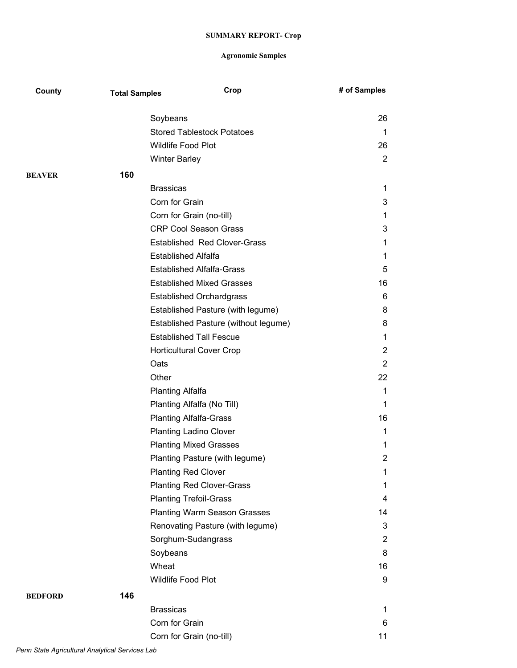| County         | <b>Total Samples</b> | Crop                                          | # of Samples   |
|----------------|----------------------|-----------------------------------------------|----------------|
|                |                      |                                               |                |
|                |                      | Soybeans<br><b>Stored Tablestock Potatoes</b> | 26             |
|                |                      | <b>Wildlife Food Plot</b>                     | 1<br>26        |
|                |                      |                                               |                |
|                |                      | <b>Winter Barley</b>                          | $\overline{2}$ |
| <b>BEAVER</b>  | 160                  |                                               |                |
|                |                      | <b>Brassicas</b>                              | 1              |
|                |                      | Corn for Grain                                | 3              |
|                |                      | Corn for Grain (no-till)                      | 1              |
|                |                      | <b>CRP Cool Season Grass</b>                  | 3              |
|                |                      | <b>Established Red Clover-Grass</b>           | 1              |
|                |                      | <b>Established Alfalfa</b>                    | 1              |
|                |                      | <b>Established Alfalfa-Grass</b>              | 5              |
|                |                      | <b>Established Mixed Grasses</b>              | 16             |
|                |                      | <b>Established Orchardgrass</b>               | 6              |
|                |                      | Established Pasture (with legume)             | 8              |
|                |                      | Established Pasture (without legume)          | 8              |
|                |                      | <b>Established Tall Fescue</b>                | 1              |
|                |                      | <b>Horticultural Cover Crop</b>               | 2              |
|                |                      | Oats                                          | $\overline{2}$ |
|                |                      | Other                                         | 22             |
|                |                      | <b>Planting Alfalfa</b>                       | 1              |
|                |                      | Planting Alfalfa (No Till)                    | 1              |
|                |                      | <b>Planting Alfalfa-Grass</b>                 | 16             |
|                |                      | <b>Planting Ladino Clover</b>                 | 1              |
|                |                      | <b>Planting Mixed Grasses</b>                 | 1              |
|                |                      | Planting Pasture (with legume)                | 2              |
|                |                      | <b>Planting Red Clover</b>                    | 1              |
|                |                      | <b>Planting Red Clover-Grass</b>              | 1              |
|                |                      | <b>Planting Trefoil-Grass</b>                 | 4              |
|                |                      | <b>Planting Warm Season Grasses</b>           | 14             |
|                |                      | Renovating Pasture (with legume)              | 3              |
|                |                      | Sorghum-Sudangrass                            | 2              |
|                |                      | Soybeans                                      | 8              |
|                |                      | Wheat                                         | 16             |
|                |                      | Wildlife Food Plot                            | 9              |
| <b>BEDFORD</b> | 146                  |                                               |                |
|                |                      | <b>Brassicas</b>                              | 1              |
|                |                      | Corn for Grain                                | 6              |
|                |                      | Corn for Grain (no-till)                      | 11             |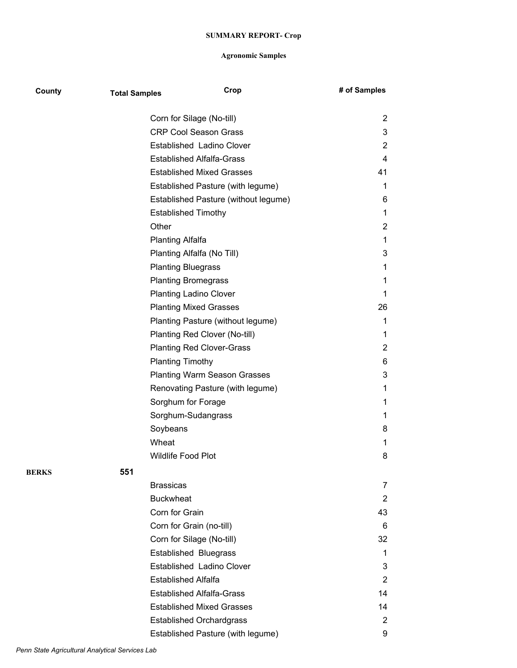| County       | <b>Total Samples</b> | Crop                                 | # of Samples   |
|--------------|----------------------|--------------------------------------|----------------|
|              |                      | Corn for Silage (No-till)            | 2              |
|              |                      | <b>CRP Cool Season Grass</b>         | 3              |
|              |                      | Established Ladino Clover            | $\overline{2}$ |
|              |                      | <b>Established Alfalfa-Grass</b>     | 4              |
|              |                      | <b>Established Mixed Grasses</b>     | 41             |
|              |                      | Established Pasture (with legume)    | 1              |
|              |                      | Established Pasture (without legume) | 6              |
|              |                      | <b>Established Timothy</b>           | 1              |
|              |                      | Other                                | 2              |
|              |                      | <b>Planting Alfalfa</b>              | 1              |
|              |                      | Planting Alfalfa (No Till)           | 3              |
|              |                      | <b>Planting Bluegrass</b>            | 1              |
|              |                      | <b>Planting Bromegrass</b>           | 1              |
|              |                      | <b>Planting Ladino Clover</b>        | 1              |
|              |                      | <b>Planting Mixed Grasses</b>        | 26             |
|              |                      | Planting Pasture (without legume)    | 1              |
|              |                      | Planting Red Clover (No-till)        | 1              |
|              |                      | <b>Planting Red Clover-Grass</b>     | $\overline{2}$ |
|              |                      | <b>Planting Timothy</b>              | 6              |
|              |                      | <b>Planting Warm Season Grasses</b>  | 3              |
|              |                      | Renovating Pasture (with legume)     | 1              |
|              |                      | Sorghum for Forage                   | 1              |
|              |                      | Sorghum-Sudangrass                   | 1              |
|              |                      | Soybeans                             | 8              |
|              |                      | Wheat                                | 1              |
|              |                      | <b>Wildlife Food Plot</b>            | 8              |
| <b>BERKS</b> | 551                  |                                      |                |
|              |                      | <b>Brassicas</b>                     | 7              |
|              |                      | <b>Buckwheat</b>                     | $\overline{2}$ |
|              |                      | Corn for Grain                       | 43             |
|              |                      | Corn for Grain (no-till)             | 6              |
|              |                      | Corn for Silage (No-till)            | 32             |
|              |                      | <b>Established Bluegrass</b>         | 1              |
|              |                      | Established Ladino Clover            | 3              |
|              |                      | <b>Established Alfalfa</b>           | 2              |
|              |                      | <b>Established Alfalfa-Grass</b>     | 14             |
|              |                      | <b>Established Mixed Grasses</b>     | 14             |
|              |                      | <b>Established Orchardgrass</b>      | 2              |
|              |                      | Established Pasture (with legume)    | 9              |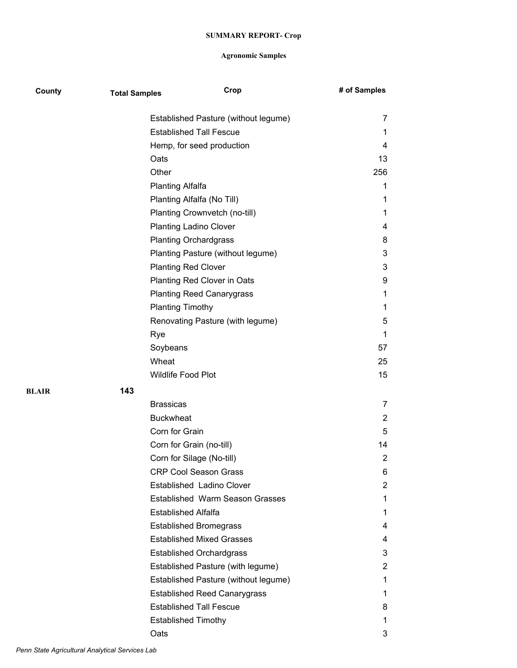| County | <b>Total Samples</b> | Crop                                   | # of Samples   |
|--------|----------------------|----------------------------------------|----------------|
|        |                      | Established Pasture (without legume)   | 7              |
|        |                      | <b>Established Tall Fescue</b>         | 1              |
|        |                      | Hemp, for seed production              | 4              |
|        |                      | Oats                                   | 13             |
|        |                      | Other                                  | 256            |
|        |                      | <b>Planting Alfalfa</b>                | 1              |
|        |                      | Planting Alfalfa (No Till)             | 1              |
|        |                      | Planting Crownvetch (no-till)          | 1              |
|        |                      | <b>Planting Ladino Clover</b>          | 4              |
|        |                      | <b>Planting Orchardgrass</b>           | 8              |
|        |                      | Planting Pasture (without legume)      | 3              |
|        |                      | <b>Planting Red Clover</b>             | 3              |
|        |                      | Planting Red Clover in Oats            | 9              |
|        |                      | <b>Planting Reed Canarygrass</b>       | 1              |
|        |                      | <b>Planting Timothy</b>                | 1              |
|        |                      | Renovating Pasture (with legume)       | 5              |
|        |                      | Rye                                    | 1              |
|        |                      | Soybeans                               | 57             |
|        |                      | Wheat                                  | 25             |
|        |                      | Wildlife Food Plot                     | 15             |
| BLAIR  | 143                  |                                        |                |
|        |                      | <b>Brassicas</b>                       | 7              |
|        |                      | <b>Buckwheat</b>                       | $\overline{2}$ |
|        |                      | Corn for Grain                         | 5              |
|        |                      | Corn for Grain (no-till)               | 14             |
|        |                      | Corn for Silage (No-till)              | $\overline{2}$ |
|        |                      | <b>CRP Cool Season Grass</b>           | 6              |
|        |                      | Established Ladino Clover              | $\overline{c}$ |
|        |                      | <b>Established Warm Season Grasses</b> | 1              |
|        |                      | <b>Established Alfalfa</b>             | 1              |
|        |                      | <b>Established Bromegrass</b>          | 4              |
|        |                      | <b>Established Mixed Grasses</b>       | 4              |
|        |                      | <b>Established Orchardgrass</b>        | 3              |
|        |                      | Established Pasture (with legume)      | 2              |
|        |                      | Established Pasture (without legume)   | 1              |
|        |                      | <b>Established Reed Canarygrass</b>    | 1              |
|        |                      | <b>Established Tall Fescue</b>         | 8              |
|        |                      | <b>Established Timothy</b>             | 1              |
|        |                      | Oats                                   | 3              |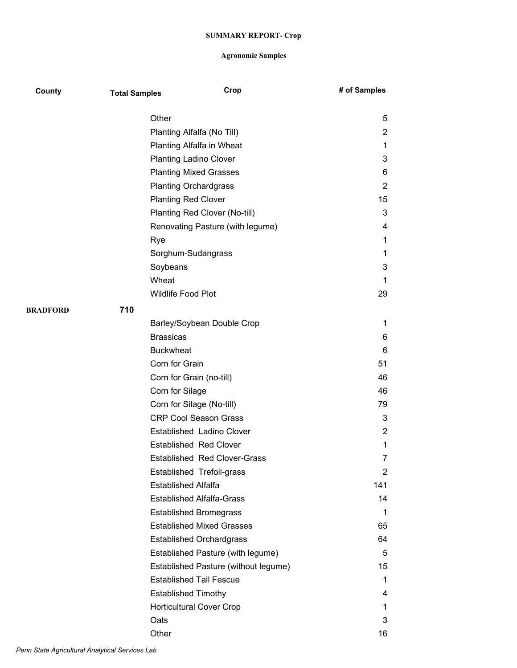| County   | <b>Total Samples</b> | Crop                                 | # of Samples   |
|----------|----------------------|--------------------------------------|----------------|
|          | Other                |                                      | 5              |
|          |                      | Planting Alfalfa (No Till)           | 2              |
|          |                      | Planting Alfalfa in Wheat            | $\mathbf 1$    |
|          |                      | <b>Planting Ladino Clover</b>        | 3              |
|          |                      | <b>Planting Mixed Grasses</b>        | 6              |
|          |                      | <b>Planting Orchardgrass</b>         | 2              |
|          |                      | <b>Planting Red Clover</b>           | 15             |
|          |                      | Planting Red Clover (No-till)        | 3              |
|          |                      | Renovating Pasture (with legume)     | 4              |
|          | Rye                  |                                      | 1              |
|          |                      | Sorghum-Sudangrass                   | 1              |
|          | Soybeans             |                                      | 3              |
|          | Wheat                |                                      | 1              |
|          |                      | <b>Wildlife Food Plot</b>            | 29             |
| BRADFORD | 710                  |                                      |                |
|          |                      | Barley/Soybean Double Crop           | 1              |
|          | <b>Brassicas</b>     |                                      | 6              |
|          |                      | <b>Buckwheat</b>                     | 6              |
|          |                      | Corn for Grain                       | 51             |
|          |                      | Corn for Grain (no-till)             | 46             |
|          |                      | Corn for Silage                      | 46             |
|          |                      | Corn for Silage (No-till)            | 79             |
|          |                      | <b>CRP Cool Season Grass</b>         | 3              |
|          |                      | <b>Established Ladino Clover</b>     | 2              |
|          |                      | <b>Established Red Clover</b>        | 1              |
|          |                      | <b>Established Red Clover-Grass</b>  | 7              |
|          |                      | Established Trefoil-grass            | $\overline{2}$ |
|          |                      | <b>Established Alfalfa</b>           | 141            |
|          |                      | <b>Established Alfalfa-Grass</b>     | 14             |
|          |                      | <b>Established Bromegrass</b>        | 1              |
|          |                      | <b>Established Mixed Grasses</b>     | 65             |
|          |                      | <b>Established Orchardgrass</b>      | 64             |
|          |                      | Established Pasture (with legume)    | 5              |
|          |                      | Established Pasture (without legume) | 15             |
|          |                      | <b>Established Tall Fescue</b>       | 1              |
|          |                      | <b>Established Timothy</b>           | 4              |
|          |                      | <b>Horticultural Cover Crop</b>      | 1              |
|          | Oats                 |                                      | 3              |
|          | Other                |                                      | 16             |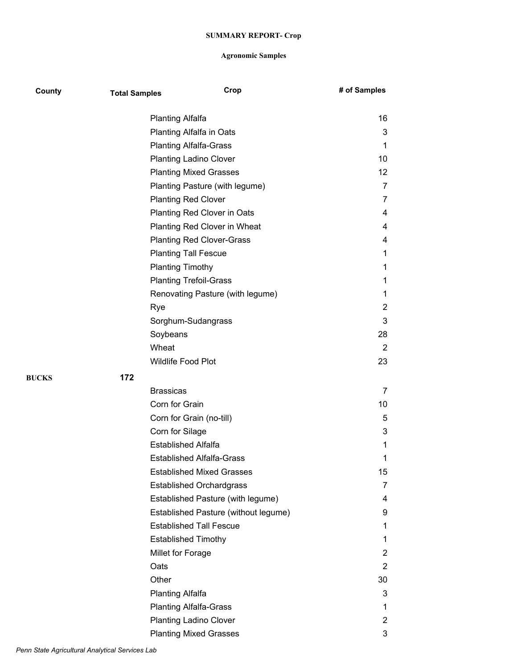| County       | <b>Total Samples</b> | Crop                                 | # of Samples      |
|--------------|----------------------|--------------------------------------|-------------------|
|              |                      | <b>Planting Alfalfa</b>              | 16                |
|              |                      | Planting Alfalfa in Oats             | 3                 |
|              |                      | <b>Planting Alfalfa-Grass</b>        | 1                 |
|              |                      | <b>Planting Ladino Clover</b>        | 10                |
|              |                      | <b>Planting Mixed Grasses</b>        | $12 \overline{ }$ |
|              |                      | Planting Pasture (with legume)       | $\overline{7}$    |
|              |                      | <b>Planting Red Clover</b>           | $\overline{7}$    |
|              |                      | Planting Red Clover in Oats          | 4                 |
|              |                      | Planting Red Clover in Wheat         | 4                 |
|              |                      | <b>Planting Red Clover-Grass</b>     | 4                 |
|              |                      | <b>Planting Tall Fescue</b>          | 1                 |
|              |                      | <b>Planting Timothy</b>              | 1                 |
|              |                      | <b>Planting Trefoil-Grass</b>        | 1                 |
|              |                      | Renovating Pasture (with legume)     | 1                 |
|              |                      | Rye                                  | $\overline{2}$    |
|              |                      | Sorghum-Sudangrass                   | 3                 |
|              |                      | Soybeans                             | 28                |
|              |                      | Wheat                                | $\overline{2}$    |
|              |                      | Wildlife Food Plot                   | 23                |
| <b>BUCKS</b> | 172                  |                                      |                   |
|              |                      | <b>Brassicas</b>                     | 7                 |
|              |                      | Corn for Grain                       | 10                |
|              |                      | Corn for Grain (no-till)             | 5                 |
|              |                      | Corn for Silage                      | 3                 |
|              |                      | <b>Established Alfalfa</b>           | 1                 |
|              |                      | <b>Established Alfalfa-Grass</b>     | 1                 |
|              |                      | <b>Established Mixed Grasses</b>     | 15                |
|              |                      | <b>Established Orchardgrass</b>      | 7                 |
|              |                      | Established Pasture (with legume)    | 4                 |
|              |                      | Established Pasture (without legume) | 9                 |
|              |                      | <b>Established Tall Fescue</b>       | 1                 |
|              |                      | <b>Established Timothy</b>           | 1                 |
|              |                      | Millet for Forage                    | 2                 |
|              |                      | Oats                                 | $\overline{2}$    |
|              |                      | Other                                | 30                |
|              |                      | <b>Planting Alfalfa</b>              | 3                 |
|              |                      | <b>Planting Alfalfa-Grass</b>        | 1                 |
|              |                      | Planting Ladino Clover               | 2                 |
|              |                      | <b>Planting Mixed Grasses</b>        | 3                 |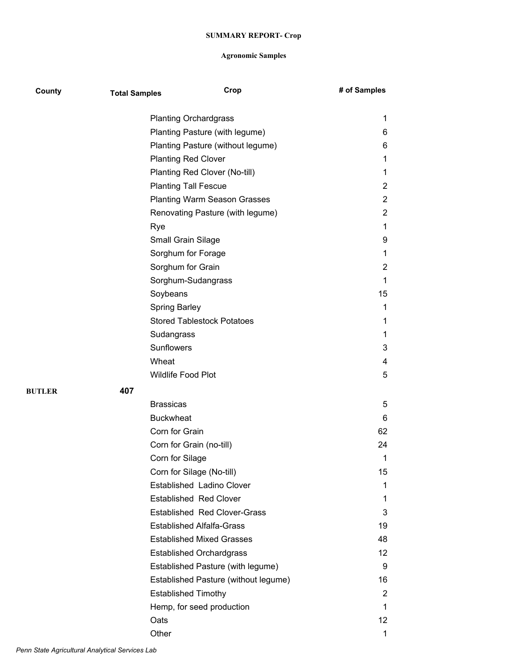| County        | <b>Total Samples</b> | Crop                                 | # of Samples      |
|---------------|----------------------|--------------------------------------|-------------------|
|               |                      | <b>Planting Orchardgrass</b>         | 1                 |
|               |                      | Planting Pasture (with legume)       | 6                 |
|               |                      | Planting Pasture (without legume)    | 6                 |
|               |                      | <b>Planting Red Clover</b>           | 1                 |
|               |                      | Planting Red Clover (No-till)        | 1                 |
|               |                      | <b>Planting Tall Fescue</b>          | $\overline{2}$    |
|               |                      | <b>Planting Warm Season Grasses</b>  | $\overline{2}$    |
|               |                      | Renovating Pasture (with legume)     | $\overline{2}$    |
|               |                      | Rye                                  | 1                 |
|               |                      | <b>Small Grain Silage</b>            | 9                 |
|               |                      | Sorghum for Forage                   | 1                 |
|               |                      | Sorghum for Grain                    | $\overline{2}$    |
|               |                      | Sorghum-Sudangrass                   | 1                 |
|               |                      | Soybeans                             | 15                |
|               |                      | <b>Spring Barley</b>                 | 1                 |
|               |                      | <b>Stored Tablestock Potatoes</b>    | 1                 |
|               |                      | Sudangrass                           | 1                 |
|               |                      | Sunflowers                           | 3                 |
|               |                      | Wheat                                | 4                 |
|               |                      | Wildlife Food Plot                   | 5                 |
| <b>BUTLER</b> | 407                  |                                      |                   |
|               |                      | <b>Brassicas</b>                     | 5                 |
|               |                      | <b>Buckwheat</b>                     | 6                 |
|               |                      | Corn for Grain                       | 62                |
|               |                      | Corn for Grain (no-till)             | 24                |
|               |                      | Corn for Silage                      | 1                 |
|               |                      | Corn for Silage (No-till)            | 15                |
|               |                      | Established Ladino Clover            | 1                 |
|               |                      | <b>Established Red Clover</b>        | 1                 |
|               |                      | <b>Established Red Clover-Grass</b>  | 3                 |
|               |                      | <b>Established Alfalfa-Grass</b>     | 19                |
|               |                      | <b>Established Mixed Grasses</b>     | 48                |
|               |                      | <b>Established Orchardgrass</b>      | $12 \overline{ }$ |
|               |                      | Established Pasture (with legume)    | 9                 |
|               |                      | Established Pasture (without legume) | 16                |
|               |                      | <b>Established Timothy</b>           | 2                 |
|               |                      | Hemp, for seed production            | 1                 |
|               |                      | Oats                                 | 12                |
|               |                      | Other                                | 1                 |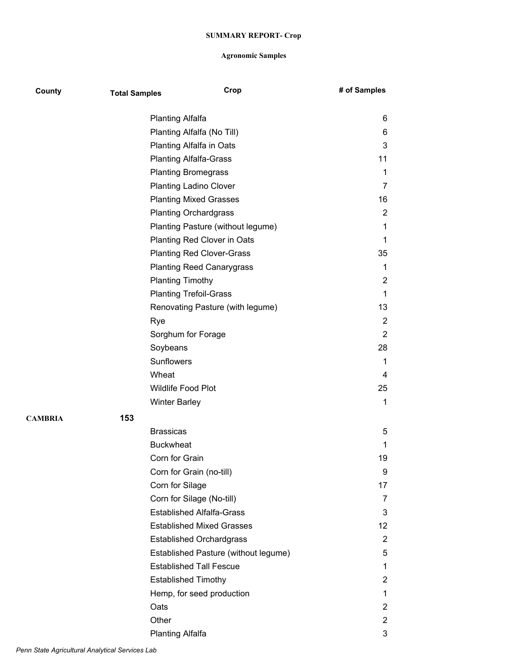| County         | <b>Total Samples</b> | Crop                                 | # of Samples    |
|----------------|----------------------|--------------------------------------|-----------------|
|                |                      | <b>Planting Alfalfa</b>              | 6               |
|                |                      | Planting Alfalfa (No Till)           | 6               |
|                |                      | Planting Alfalfa in Oats             | 3               |
|                |                      | <b>Planting Alfalfa-Grass</b>        | 11              |
|                |                      | <b>Planting Bromegrass</b>           | 1               |
|                |                      | <b>Planting Ladino Clover</b>        | 7               |
|                |                      | <b>Planting Mixed Grasses</b>        | 16              |
|                |                      | <b>Planting Orchardgrass</b>         | $\overline{2}$  |
|                |                      | Planting Pasture (without legume)    | 1               |
|                |                      | Planting Red Clover in Oats          | 1               |
|                |                      | <b>Planting Red Clover-Grass</b>     | 35              |
|                |                      | <b>Planting Reed Canarygrass</b>     | 1               |
|                |                      | <b>Planting Timothy</b>              | 2               |
|                |                      | <b>Planting Trefoil-Grass</b>        | $\mathbf 1$     |
|                |                      | Renovating Pasture (with legume)     | 13              |
|                |                      | Rye                                  | 2               |
|                |                      | Sorghum for Forage                   | 2               |
|                |                      | Soybeans                             | 28              |
|                |                      | Sunflowers                           | 1               |
|                |                      | Wheat                                | 4               |
|                |                      | Wildlife Food Plot                   | 25              |
|                |                      | <b>Winter Barley</b>                 | 1               |
| <b>CAMBRIA</b> | 153                  |                                      |                 |
|                |                      | <b>Brassicas</b>                     | 5               |
|                |                      | <b>Buckwheat</b>                     | 1               |
|                |                      | Corn for Grain                       | 19              |
|                |                      | Corn for Grain (no-till)             | 9               |
|                |                      | Corn for Silage                      | 17              |
|                |                      | Corn for Silage (No-till)            | 7               |
|                |                      | <b>Established Alfalfa-Grass</b>     | 3               |
|                |                      | <b>Established Mixed Grasses</b>     | 12 <sup>2</sup> |
|                |                      | <b>Established Orchardgrass</b>      | $\overline{2}$  |
|                |                      | Established Pasture (without legume) | 5               |
|                |                      | <b>Established Tall Fescue</b>       | 1               |
|                |                      | <b>Established Timothy</b>           | $\overline{2}$  |
|                |                      | Hemp, for seed production            | 1               |
|                |                      | Oats                                 | $\overline{2}$  |
|                |                      | Other                                | $\overline{2}$  |
|                |                      | <b>Planting Alfalfa</b>              | 3               |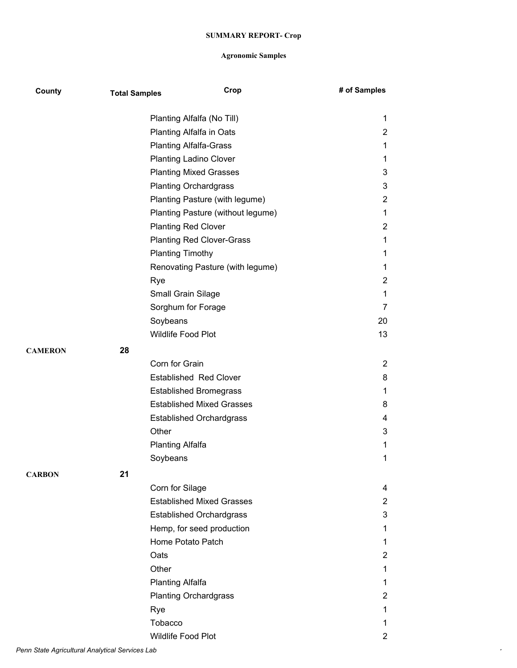| County         | <b>Total Samples</b> | Crop                              | # of Samples   |
|----------------|----------------------|-----------------------------------|----------------|
|                |                      | Planting Alfalfa (No Till)        | 1              |
|                |                      | Planting Alfalfa in Oats          | $\overline{2}$ |
|                |                      | <b>Planting Alfalfa-Grass</b>     | 1              |
|                |                      | <b>Planting Ladino Clover</b>     | 1              |
|                |                      | <b>Planting Mixed Grasses</b>     | 3              |
|                |                      | <b>Planting Orchardgrass</b>      | 3              |
|                |                      | Planting Pasture (with legume)    | $\overline{c}$ |
|                |                      | Planting Pasture (without legume) | 1              |
|                |                      | <b>Planting Red Clover</b>        | $\overline{2}$ |
|                |                      | <b>Planting Red Clover-Grass</b>  | 1              |
|                |                      | <b>Planting Timothy</b>           | 1              |
|                |                      | Renovating Pasture (with legume)  | 1              |
|                |                      | Rye                               | $\overline{c}$ |
|                |                      | Small Grain Silage                | 1              |
|                |                      | Sorghum for Forage                | 7              |
|                |                      | Soybeans                          | 20             |
|                |                      | Wildlife Food Plot                | 13             |
| <b>CAMERON</b> | 28                   |                                   |                |
|                |                      | Corn for Grain                    | $\overline{2}$ |
|                |                      | <b>Established Red Clover</b>     | 8              |
|                |                      | <b>Established Bromegrass</b>     | 1              |
|                |                      | <b>Established Mixed Grasses</b>  | 8              |
|                |                      | <b>Established Orchardgrass</b>   | 4              |
|                |                      | Other                             | 3              |
|                |                      | <b>Planting Alfalfa</b>           | 1              |
|                |                      | Soybeans                          | 1              |
| <b>CARBON</b>  | 21                   |                                   |                |
|                |                      | Corn for Silage                   | 4              |
|                |                      | <b>Established Mixed Grasses</b>  | $\overline{2}$ |
|                |                      | <b>Established Orchardgrass</b>   | 3              |
|                |                      | Hemp, for seed production         | 1              |
|                |                      | Home Potato Patch                 | 1              |
|                |                      | Oats                              | $\overline{c}$ |
|                |                      | Other                             | $\mathbf{1}$   |
|                |                      | <b>Planting Alfalfa</b>           | 1              |
|                |                      | <b>Planting Orchardgrass</b>      | $\overline{c}$ |
|                |                      | Rye                               | 1              |
|                |                      | Tobacco                           | 1              |
|                |                      | Wildlife Food Plot                | $\overline{c}$ |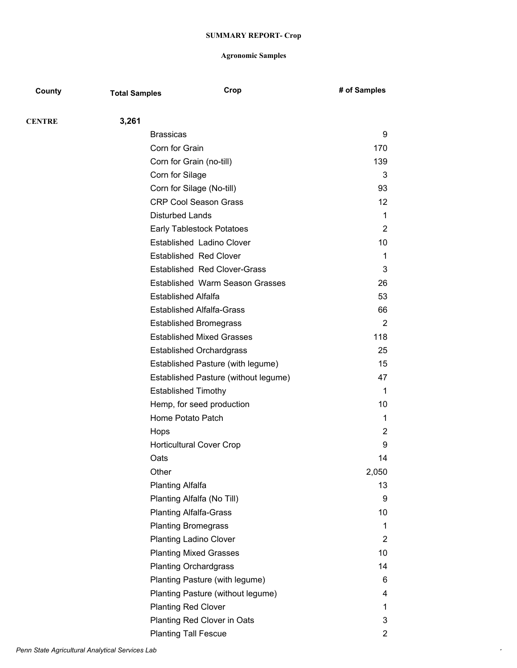| County        | <b>Total Samples</b>   | Crop                                   | # of Samples      |
|---------------|------------------------|----------------------------------------|-------------------|
| <b>CENTRE</b> | 3,261                  |                                        |                   |
|               | <b>Brassicas</b>       |                                        | 9                 |
|               | Corn for Grain         |                                        | 170               |
|               |                        | Corn for Grain (no-till)               | 139               |
|               | Corn for Silage        |                                        | 3                 |
|               |                        | Corn for Silage (No-till)              | 93                |
|               |                        | <b>CRP Cool Season Grass</b>           | $12 \overline{ }$ |
|               | <b>Disturbed Lands</b> |                                        | 1                 |
|               |                        | <b>Early Tablestock Potatoes</b>       | 2                 |
|               |                        | Established Ladino Clover              | 10                |
|               |                        | <b>Established Red Clover</b>          | 1                 |
|               |                        | <b>Established Red Clover-Grass</b>    | 3                 |
|               |                        | <b>Established Warm Season Grasses</b> | 26                |
|               |                        | <b>Established Alfalfa</b>             | 53                |
|               |                        | <b>Established Alfalfa-Grass</b>       | 66                |
|               |                        | <b>Established Bromegrass</b>          | $\overline{2}$    |
|               |                        | <b>Established Mixed Grasses</b>       | 118               |
|               |                        | <b>Established Orchardgrass</b>        | 25                |
|               |                        | Established Pasture (with legume)      | 15                |
|               |                        | Established Pasture (without legume)   | 47                |
|               |                        | <b>Established Timothy</b>             | 1                 |
|               |                        | Hemp, for seed production              | 10                |
|               |                        | Home Potato Patch                      | 1                 |
|               | Hops                   |                                        | 2                 |
|               |                        | <b>Horticultural Cover Crop</b>        | 9                 |
|               | Oats                   |                                        | 14                |
|               | Other                  |                                        | 2,050             |
|               | Planting Alfalfa       |                                        | 13                |
|               |                        | Planting Alfalfa (No Till)             | 9                 |
|               |                        | <b>Planting Alfalfa-Grass</b>          | 10                |
|               |                        | <b>Planting Bromegrass</b>             | 1                 |
|               |                        | <b>Planting Ladino Clover</b>          | 2                 |
|               |                        | <b>Planting Mixed Grasses</b>          | 10                |
|               |                        | <b>Planting Orchardgrass</b>           | 14                |
|               |                        | Planting Pasture (with legume)         | 6                 |
|               |                        | Planting Pasture (without legume)      | 4                 |
|               |                        | <b>Planting Red Clover</b>             | 1                 |
|               |                        | Planting Red Clover in Oats            | 3                 |
|               |                        | <b>Planting Tall Fescue</b>            | $\overline{2}$    |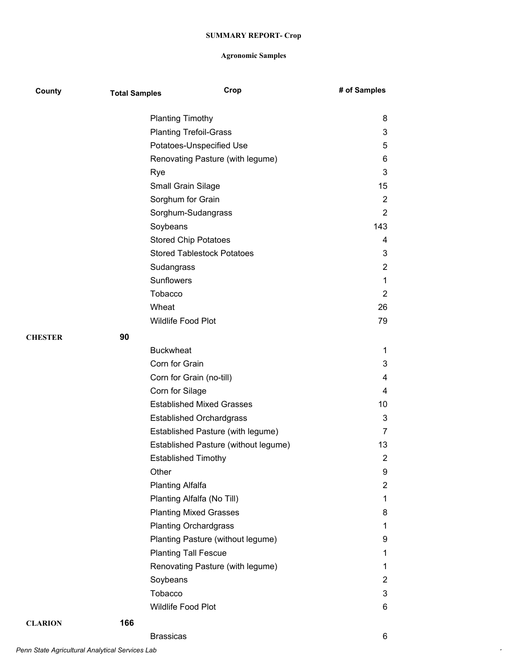| County         | <b>Total Samples</b> | Crop                                 | # of Samples   |
|----------------|----------------------|--------------------------------------|----------------|
|                |                      | <b>Planting Timothy</b>              | 8              |
|                |                      | <b>Planting Trefoil-Grass</b>        | 3              |
|                |                      | Potatoes-Unspecified Use             | 5              |
|                |                      | Renovating Pasture (with legume)     | 6              |
|                |                      | Rye                                  | 3              |
|                |                      | <b>Small Grain Silage</b>            | 15             |
|                |                      | Sorghum for Grain                    | $\overline{2}$ |
|                |                      | Sorghum-Sudangrass                   | $\overline{2}$ |
|                |                      | Soybeans                             | 143            |
|                |                      | <b>Stored Chip Potatoes</b>          | 4              |
|                |                      | <b>Stored Tablestock Potatoes</b>    | 3              |
|                |                      | Sudangrass                           | $\overline{2}$ |
|                |                      | Sunflowers                           | 1              |
|                |                      | Tobacco                              | $\overline{2}$ |
|                |                      | Wheat                                | 26             |
|                |                      | <b>Wildlife Food Plot</b>            | 79             |
| <b>CHESTER</b> | 90                   |                                      |                |
|                |                      | <b>Buckwheat</b>                     | 1              |
|                |                      | Corn for Grain                       | 3              |
|                |                      | Corn for Grain (no-till)             | 4              |
|                |                      | Corn for Silage                      | 4              |
|                |                      | <b>Established Mixed Grasses</b>     | 10             |
|                |                      | <b>Established Orchardgrass</b>      | 3              |
|                |                      | Established Pasture (with legume)    | 7              |
|                |                      | Established Pasture (without legume) | 13             |
|                |                      | <b>Established Timothy</b>           | $\overline{2}$ |
|                |                      | Other                                | 9              |
|                |                      | <b>Planting Alfalfa</b>              | $\overline{2}$ |
|                |                      | Planting Alfalfa (No Till)           | 1              |
|                |                      | <b>Planting Mixed Grasses</b>        | 8              |
|                |                      | <b>Planting Orchardgrass</b>         | 1              |
|                |                      | Planting Pasture (without legume)    | 9              |
|                |                      | <b>Planting Tall Fescue</b>          | 1              |
|                |                      | Renovating Pasture (with legume)     | 1              |
|                |                      | Soybeans                             | $\overline{2}$ |
|                |                      | Tobacco                              | 3              |
|                |                      | Wildlife Food Plot                   | 6              |
| <b>CLARION</b> | 166                  |                                      |                |
|                |                      | <b>Brassicas</b>                     | 6              |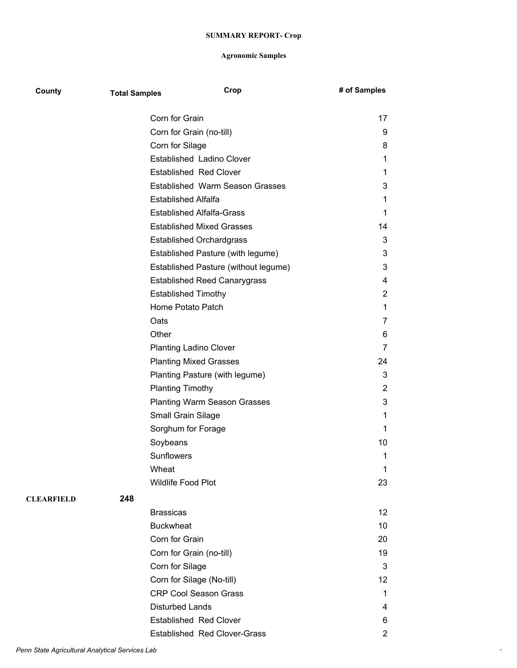| County            | <b>Total Samples</b> | Crop                                 | # of Samples          |
|-------------------|----------------------|--------------------------------------|-----------------------|
|                   |                      | Corn for Grain                       | 17                    |
|                   |                      | Corn for Grain (no-till)             | 9                     |
|                   |                      | Corn for Silage                      | 8                     |
|                   |                      | Established Ladino Clover            | 1                     |
|                   |                      | <b>Established Red Clover</b>        | 1.                    |
|                   |                      | Established Warm Season Grasses      | 3                     |
|                   |                      | Established Alfalfa                  | 1                     |
|                   |                      | <b>Established Alfalfa-Grass</b>     | 1.                    |
|                   |                      | <b>Established Mixed Grasses</b>     | 14                    |
|                   |                      | <b>Established Orchardgrass</b>      | 3                     |
|                   |                      | Established Pasture (with legume)    | 3                     |
|                   |                      | Established Pasture (without legume) | 3                     |
|                   |                      | <b>Established Reed Canarygrass</b>  | 4                     |
|                   |                      | <b>Established Timothy</b>           | 2                     |
|                   |                      | Home Potato Patch                    | 1                     |
|                   |                      | Oats                                 | 7                     |
|                   |                      | Other                                | 6                     |
|                   |                      | <b>Planting Ladino Clover</b>        | 7                     |
|                   |                      | <b>Planting Mixed Grasses</b>        | 24                    |
|                   |                      | Planting Pasture (with legume)       | 3                     |
|                   |                      | <b>Planting Timothy</b>              | $\overline{2}$        |
|                   |                      | <b>Planting Warm Season Grasses</b>  | 3                     |
|                   |                      | Small Grain Silage                   | 1.                    |
|                   |                      | Sorghum for Forage                   | 1                     |
|                   |                      | Soybeans                             | 10                    |
|                   |                      | <b>Sunflowers</b>                    | 1                     |
|                   |                      | Wheat                                | 1                     |
|                   |                      | Wildlife Food Plot                   | 23                    |
| <b>CLEARFIELD</b> | 248                  |                                      |                       |
|                   |                      | <b>Brassicas</b>                     | 12                    |
|                   |                      | <b>Buckwheat</b>                     | 10                    |
|                   |                      | Corn for Grain                       | 20                    |
|                   |                      | Corn for Grain (no-till)             | 19                    |
|                   |                      | Corn for Silage                      | 3                     |
|                   |                      | Corn for Silage (No-till)            | 12                    |
|                   |                      | <b>CRP Cool Season Grass</b>         | 1                     |
|                   |                      | <b>Disturbed Lands</b>               | 4                     |
|                   |                      | <b>Established Red Clover</b>        | 6                     |
|                   |                      | <b>Established Red Clover-Grass</b>  | $\mathbf{2}^{\prime}$ |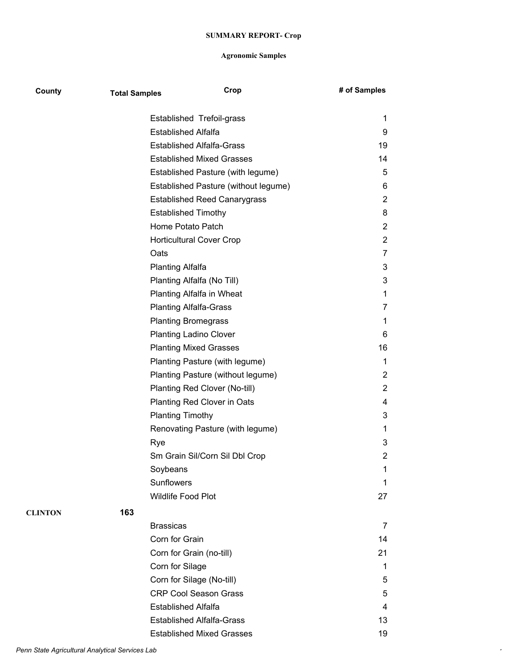| County         | <b>Total Samples</b> | Crop                                 | # of Samples   |
|----------------|----------------------|--------------------------------------|----------------|
|                |                      | Established Trefoil-grass            | 1              |
|                |                      | <b>Established Alfalfa</b>           | 9              |
|                |                      | <b>Established Alfalfa-Grass</b>     | 19             |
|                |                      | <b>Established Mixed Grasses</b>     | 14             |
|                |                      | Established Pasture (with legume)    | 5              |
|                |                      | Established Pasture (without legume) | 6              |
|                |                      | <b>Established Reed Canarygrass</b>  | $\overline{2}$ |
|                |                      | <b>Established Timothy</b>           | 8              |
|                |                      | Home Potato Patch                    | $\overline{2}$ |
|                |                      | <b>Horticultural Cover Crop</b>      | $\overline{2}$ |
|                |                      | Oats                                 | 7              |
|                |                      | <b>Planting Alfalfa</b>              | 3              |
|                |                      | Planting Alfalfa (No Till)           | 3              |
|                |                      | Planting Alfalfa in Wheat            | 1              |
|                |                      | <b>Planting Alfalfa-Grass</b>        | 7              |
|                |                      | <b>Planting Bromegrass</b>           | 1              |
|                |                      | <b>Planting Ladino Clover</b>        | 6              |
|                |                      | <b>Planting Mixed Grasses</b>        | 16             |
|                |                      | Planting Pasture (with legume)       | 1              |
|                |                      | Planting Pasture (without legume)    | $\overline{2}$ |
|                |                      | Planting Red Clover (No-till)        | $\overline{2}$ |
|                |                      | Planting Red Clover in Oats          | 4              |
|                |                      | <b>Planting Timothy</b>              | 3              |
|                |                      | Renovating Pasture (with legume)     | 1              |
|                |                      | Rye                                  | 3              |
|                |                      | Sm Grain Sil/Corn Sil Dbl Crop       | $\overline{2}$ |
|                |                      | Soybeans                             | 1              |
|                |                      | Sunflowers                           | 1              |
|                |                      | <b>Wildlife Food Plot</b>            | 27             |
| <b>CLINTON</b> | 163                  |                                      |                |
|                |                      | <b>Brassicas</b>                     | 7              |
|                |                      | Corn for Grain                       | 14             |
|                |                      | Corn for Grain (no-till)             | 21             |
|                |                      | Corn for Silage                      | 1              |
|                |                      | Corn for Silage (No-till)            | 5              |
|                |                      | <b>CRP Cool Season Grass</b>         | 5              |
|                |                      | <b>Established Alfalfa</b>           | 4              |
|                |                      | <b>Established Alfalfa-Grass</b>     | 13             |
|                |                      | <b>Established Mixed Grasses</b>     | 19             |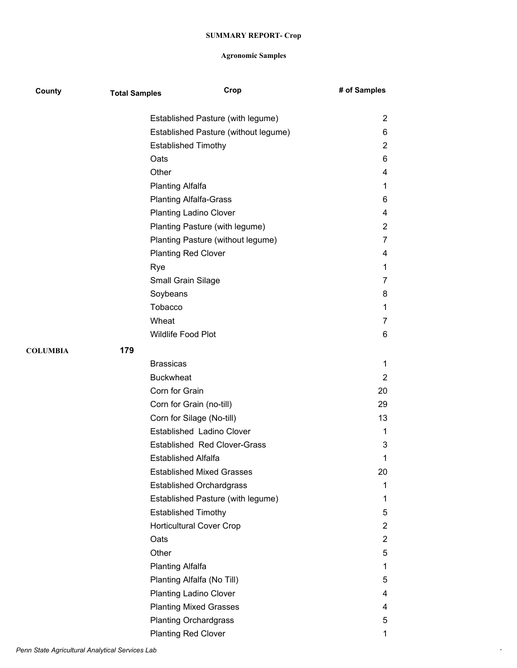| County          | <b>Total Samples</b> | Crop                                 | # of Samples   |
|-----------------|----------------------|--------------------------------------|----------------|
|                 |                      | Established Pasture (with legume)    | $\overline{2}$ |
|                 |                      | Established Pasture (without legume) | 6              |
|                 |                      | <b>Established Timothy</b>           | $\overline{2}$ |
|                 |                      | Oats                                 | 6              |
|                 |                      | Other                                | 4              |
|                 |                      | <b>Planting Alfalfa</b>              | 1              |
|                 |                      | <b>Planting Alfalfa-Grass</b>        | 6              |
|                 |                      | <b>Planting Ladino Clover</b>        | 4              |
|                 |                      | Planting Pasture (with legume)       | $\overline{2}$ |
|                 |                      | Planting Pasture (without legume)    | 7              |
|                 |                      | <b>Planting Red Clover</b>           | 4              |
|                 |                      | Rye                                  | 1              |
|                 |                      | Small Grain Silage                   | 7              |
|                 |                      | Soybeans                             | 8              |
|                 |                      | Tobacco                              | 1              |
|                 |                      | Wheat                                | 7              |
|                 |                      | Wildlife Food Plot                   | 6              |
| <b>COLUMBIA</b> | 179                  |                                      |                |
|                 |                      | <b>Brassicas</b>                     | 1              |
|                 |                      | <b>Buckwheat</b>                     | $\overline{c}$ |
|                 |                      | Corn for Grain                       | 20             |
|                 |                      | Corn for Grain (no-till)             | 29             |
|                 |                      | Corn for Silage (No-till)            | 13             |
|                 |                      | Established Ladino Clover            | 1              |
|                 |                      | <b>Established Red Clover-Grass</b>  | 3              |
|                 |                      | Established Alfalfa                  | 1              |
|                 |                      | <b>Established Mixed Grasses</b>     | 20             |
|                 |                      | <b>Established Orchardgrass</b>      | 1              |
|                 |                      | Established Pasture (with legume)    | 1              |
|                 |                      | <b>Established Timothy</b>           | 5              |
|                 |                      | <b>Horticultural Cover Crop</b>      | $\overline{2}$ |
|                 |                      | Oats                                 | $\overline{2}$ |
|                 |                      | Other                                | 5              |
|                 |                      | <b>Planting Alfalfa</b>              | 1              |
|                 |                      | Planting Alfalfa (No Till)           | 5              |
|                 |                      | <b>Planting Ladino Clover</b>        | 4              |
|                 |                      | <b>Planting Mixed Grasses</b>        | 4              |
|                 |                      | <b>Planting Orchardgrass</b>         | 5              |
|                 |                      | <b>Planting Red Clover</b>           | 1              |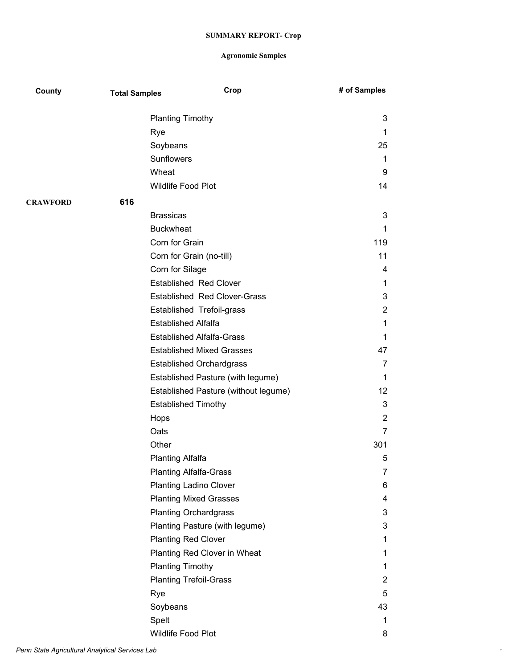| County          | <b>Total Samples</b> | Crop                                 | # of Samples   |
|-----------------|----------------------|--------------------------------------|----------------|
|                 |                      | <b>Planting Timothy</b>              | 3              |
|                 |                      | Rye                                  | 1              |
|                 |                      | Soybeans                             | 25             |
|                 |                      | Sunflowers                           | 1              |
|                 |                      | Wheat                                | 9              |
|                 |                      | Wildlife Food Plot                   | 14             |
| <b>CRAWFORD</b> | 616                  |                                      |                |
|                 |                      | <b>Brassicas</b>                     | 3              |
|                 |                      | <b>Buckwheat</b>                     | 1              |
|                 |                      | Corn for Grain                       | 119            |
|                 |                      | Corn for Grain (no-till)             | 11             |
|                 |                      | Corn for Silage                      | 4              |
|                 |                      | <b>Established Red Clover</b>        | 1              |
|                 |                      | <b>Established Red Clover-Grass</b>  | 3              |
|                 |                      | Established Trefoil-grass            | $\overline{2}$ |
|                 |                      | <b>Established Alfalfa</b>           | 1              |
|                 |                      | <b>Established Alfalfa-Grass</b>     | 1              |
|                 |                      | <b>Established Mixed Grasses</b>     | 47             |
|                 |                      | <b>Established Orchardgrass</b>      | 7              |
|                 |                      | Established Pasture (with legume)    | 1              |
|                 |                      | Established Pasture (without legume) | 12             |
|                 |                      | <b>Established Timothy</b>           | 3              |
|                 |                      | Hops                                 | 2              |
|                 |                      | Oats                                 | 7              |
|                 |                      | Other                                | 301            |
|                 |                      | <b>Planting Alfalfa</b>              | 5              |
|                 |                      | <b>Planting Alfalfa-Grass</b>        | 7              |
|                 |                      | <b>Planting Ladino Clover</b>        | 6              |
|                 |                      | <b>Planting Mixed Grasses</b>        | 4              |
|                 |                      | <b>Planting Orchardgrass</b>         | 3              |
|                 |                      | Planting Pasture (with legume)       | 3              |
|                 |                      | <b>Planting Red Clover</b>           | 1              |
|                 |                      | Planting Red Clover in Wheat         | 1              |
|                 |                      | <b>Planting Timothy</b>              | 1              |
|                 |                      | <b>Planting Trefoil-Grass</b>        | 2              |
|                 |                      | Rye                                  | 5              |
|                 |                      | Soybeans                             | 43             |
|                 |                      | Spelt                                | 1              |
|                 |                      | Wildlife Food Plot                   | 8              |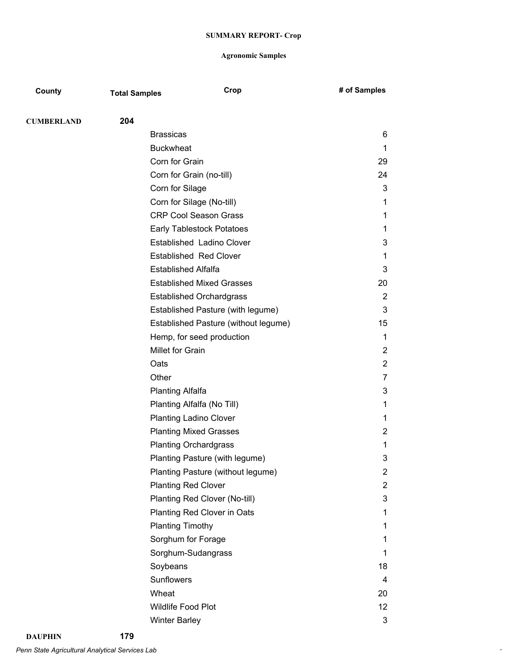| County            | <b>Total Samples</b> | Crop                                 | # of Samples   |
|-------------------|----------------------|--------------------------------------|----------------|
|                   |                      |                                      |                |
| <b>CUMBERLAND</b> | 204                  | <b>Brassicas</b>                     | 6              |
|                   |                      | <b>Buckwheat</b>                     | 1              |
|                   |                      | Corn for Grain                       | 29             |
|                   |                      | Corn for Grain (no-till)             | 24             |
|                   |                      | Corn for Silage                      | 3              |
|                   |                      | Corn for Silage (No-till)            | 1              |
|                   |                      | <b>CRP Cool Season Grass</b>         | 1              |
|                   |                      | <b>Early Tablestock Potatoes</b>     | 1              |
|                   |                      | Established Ladino Clover            | 3              |
|                   |                      | <b>Established Red Clover</b>        | 1              |
|                   |                      | <b>Established Alfalfa</b>           | 3              |
|                   |                      | <b>Established Mixed Grasses</b>     | 20             |
|                   |                      | <b>Established Orchardgrass</b>      | 2              |
|                   |                      | Established Pasture (with legume)    | 3              |
|                   |                      | Established Pasture (without legume) | 15             |
|                   |                      | Hemp, for seed production            | 1              |
|                   |                      | Millet for Grain                     | 2              |
|                   | Oats                 |                                      | 2              |
|                   | Other                |                                      | 7              |
|                   |                      | <b>Planting Alfalfa</b>              | 3              |
|                   |                      | Planting Alfalfa (No Till)           | 1              |
|                   |                      | <b>Planting Ladino Clover</b>        | 1              |
|                   |                      | <b>Planting Mixed Grasses</b>        | 2              |
|                   |                      | <b>Planting Orchardgrass</b>         | 1              |
|                   |                      | Planting Pasture (with legume)       | 3              |
|                   |                      | Planting Pasture (without legume)    | 2              |
|                   |                      | <b>Planting Red Clover</b>           | $\overline{2}$ |
|                   |                      | Planting Red Clover (No-till)        | 3              |
|                   |                      | Planting Red Clover in Oats          | 1              |
|                   |                      | <b>Planting Timothy</b>              | 1              |
|                   |                      | Sorghum for Forage                   | 1              |
|                   |                      | Sorghum-Sudangrass                   | 1              |
|                   |                      | Soybeans                             | 18             |
|                   |                      | Sunflowers                           | 4              |
|                   |                      | Wheat                                | 20             |
|                   |                      | <b>Wildlife Food Plot</b>            | 12             |
|                   |                      | <b>Winter Barley</b>                 | 3              |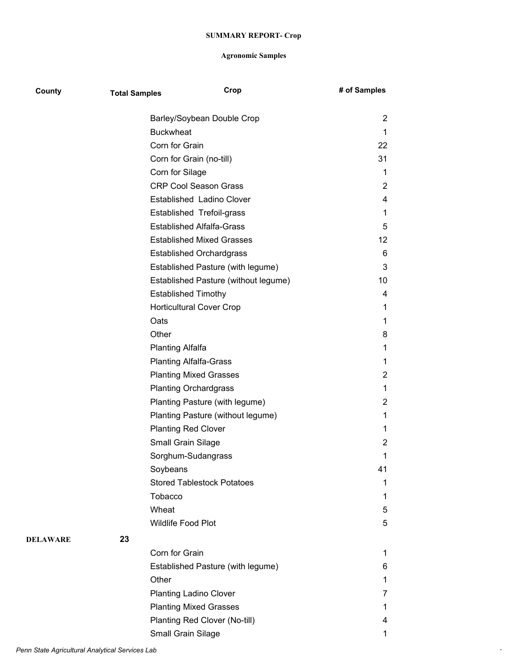| County   | <b>Total Samples</b> |                                      | Crop | # of Samples   |
|----------|----------------------|--------------------------------------|------|----------------|
|          |                      | Barley/Soybean Double Crop           |      | 2              |
|          |                      | <b>Buckwheat</b>                     |      | 1              |
|          |                      | Corn for Grain                       |      | 22             |
|          |                      | Corn for Grain (no-till)             |      | 31             |
|          |                      | Corn for Silage                      |      | 1              |
|          |                      | <b>CRP Cool Season Grass</b>         |      | 2              |
|          |                      | Established Ladino Clover            |      | 4              |
|          |                      | Established Trefoil-grass            |      | 1              |
|          |                      | <b>Established Alfalfa-Grass</b>     |      | 5              |
|          |                      | <b>Established Mixed Grasses</b>     |      | 12             |
|          |                      | <b>Established Orchardgrass</b>      |      | 6              |
|          |                      | Established Pasture (with legume)    |      | 3              |
|          |                      | Established Pasture (without legume) |      | 10             |
|          |                      | <b>Established Timothy</b>           |      | 4              |
|          |                      | <b>Horticultural Cover Crop</b>      |      | 1              |
|          |                      | Oats                                 |      | 1              |
|          |                      | Other                                |      | 8              |
|          |                      | <b>Planting Alfalfa</b>              |      | 1              |
|          |                      | <b>Planting Alfalfa-Grass</b>        |      | 1              |
|          |                      | <b>Planting Mixed Grasses</b>        |      | $\overline{2}$ |
|          |                      | <b>Planting Orchardgrass</b>         |      | 1              |
|          |                      | Planting Pasture (with legume)       |      | 2              |
|          |                      | Planting Pasture (without legume)    |      | 1              |
|          |                      | <b>Planting Red Clover</b>           |      | 1              |
|          |                      | Small Grain Silage                   |      | 2              |
|          |                      | Sorghum-Sudangrass                   |      | 1              |
|          |                      | Soybeans                             |      | 41             |
|          |                      | <b>Stored Tablestock Potatoes</b>    |      | 1              |
|          |                      | Tobacco                              |      | 1              |
|          |                      | Wheat                                |      | 5              |
|          |                      | <b>Wildlife Food Plot</b>            |      | 5              |
| DELAWARE | 23                   |                                      |      |                |
|          |                      | Corn for Grain                       |      | 1              |
|          |                      | Established Pasture (with legume)    |      | 6              |
|          |                      | Other                                |      | 1              |
|          |                      | <b>Planting Ladino Clover</b>        |      | 7              |
|          |                      | <b>Planting Mixed Grasses</b>        |      | 1              |
|          |                      | Planting Red Clover (No-till)        |      | 4              |
|          |                      | Small Grain Silage                   |      | 1              |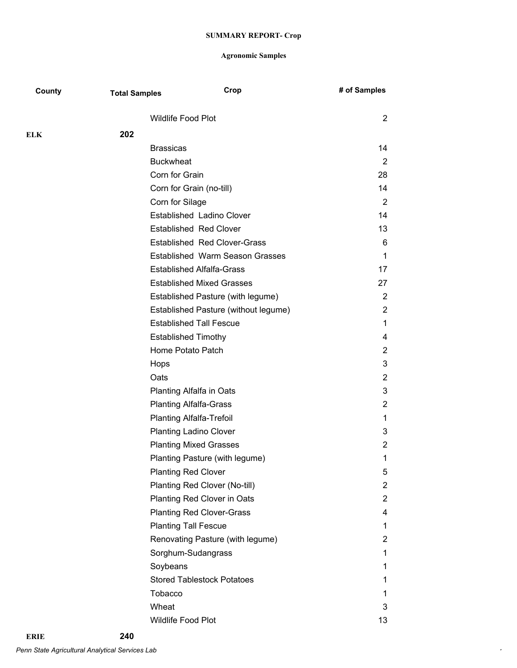| County | <b>Total Samples</b> | Crop                                   | # of Samples          |
|--------|----------------------|----------------------------------------|-----------------------|
|        |                      | Wildlife Food Plot                     | 2                     |
| ELK    | 202                  |                                        |                       |
|        |                      | <b>Brassicas</b>                       | 14                    |
|        |                      | <b>Buckwheat</b>                       | 2                     |
|        |                      | Corn for Grain                         | 28                    |
|        |                      | Corn for Grain (no-till)               | 14                    |
|        |                      | Corn for Silage                        | 2                     |
|        |                      | Established Ladino Clover              | 14                    |
|        |                      | <b>Established Red Clover</b>          | 13                    |
|        |                      | <b>Established Red Clover-Grass</b>    | 6                     |
|        |                      | <b>Established Warm Season Grasses</b> | 1                     |
|        |                      | <b>Established Alfalfa-Grass</b>       | 17                    |
|        |                      | <b>Established Mixed Grasses</b>       | 27                    |
|        |                      | Established Pasture (with legume)      | $\overline{2}$        |
|        |                      | Established Pasture (without legume)   | $\overline{2}$        |
|        |                      | <b>Established Tall Fescue</b>         | 1                     |
|        |                      | <b>Established Timothy</b>             | 4                     |
|        |                      | Home Potato Patch                      | $\mathbf{2}^{\prime}$ |
|        |                      | Hops                                   | 3                     |
|        |                      | Oats                                   | $\overline{2}$        |
|        |                      | <b>Planting Alfalfa in Oats</b>        | 3                     |
|        |                      | <b>Planting Alfalfa-Grass</b>          | 2                     |
|        |                      | <b>Planting Alfalfa-Trefoil</b>        | 1                     |
|        |                      | <b>Planting Ladino Clover</b>          | 3                     |
|        |                      | <b>Planting Mixed Grasses</b>          | 2                     |
|        |                      | Planting Pasture (with legume)         | 1                     |
|        |                      | <b>Planting Red Clover</b>             | 5                     |
|        |                      | Planting Red Clover (No-till)          | $\overline{2}$        |
|        |                      | Planting Red Clover in Oats            | $\overline{2}$        |
|        |                      | <b>Planting Red Clover-Grass</b>       | 4                     |
|        |                      | <b>Planting Tall Fescue</b>            | 1                     |
|        |                      | Renovating Pasture (with legume)       | $\mathbf{2}^{\prime}$ |
|        |                      | Sorghum-Sudangrass                     | 1                     |
|        |                      | Soybeans                               | 1                     |
|        |                      | <b>Stored Tablestock Potatoes</b>      | 1                     |
|        |                      | Tobacco                                | 1                     |
|        |                      | Wheat                                  | 3                     |
|        |                      | Wildlife Food Plot                     | 13                    |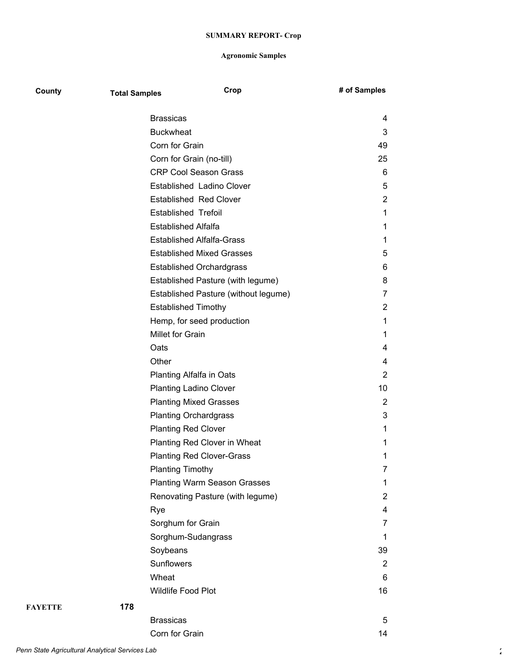| County  | <b>Total Samples</b> |                                  | Crop                                 | # of Samples   |
|---------|----------------------|----------------------------------|--------------------------------------|----------------|
|         |                      | <b>Brassicas</b>                 |                                      | 4              |
|         |                      | <b>Buckwheat</b>                 |                                      | 3              |
|         |                      | Corn for Grain                   |                                      | 49             |
|         |                      | Corn for Grain (no-till)         |                                      | 25             |
|         |                      | <b>CRP Cool Season Grass</b>     |                                      | 6              |
|         |                      | Established Ladino Clover        |                                      | 5              |
|         |                      | <b>Established Red Clover</b>    |                                      | $\overline{2}$ |
|         |                      | <b>Established Trefoil</b>       |                                      | 1              |
|         |                      | <b>Established Alfalfa</b>       |                                      | 1              |
|         |                      | <b>Established Alfalfa-Grass</b> |                                      | 1              |
|         |                      | <b>Established Mixed Grasses</b> |                                      | 5              |
|         |                      | <b>Established Orchardgrass</b>  |                                      | 6              |
|         |                      |                                  | Established Pasture (with legume)    | 8              |
|         |                      |                                  | Established Pasture (without legume) | 7              |
|         |                      | <b>Established Timothy</b>       |                                      | 2              |
|         |                      | Hemp, for seed production        |                                      | 1              |
|         |                      | Millet for Grain                 |                                      | 1              |
|         |                      | Oats                             |                                      | 4              |
|         |                      | Other                            |                                      | 4              |
|         |                      | Planting Alfalfa in Oats         |                                      | 2              |
|         |                      | <b>Planting Ladino Clover</b>    |                                      | 10             |
|         |                      | <b>Planting Mixed Grasses</b>    |                                      | 2              |
|         |                      | <b>Planting Orchardgrass</b>     |                                      | 3              |
|         |                      | <b>Planting Red Clover</b>       |                                      | 1              |
|         |                      | Planting Red Clover in Wheat     |                                      | 1              |
|         |                      | <b>Planting Red Clover-Grass</b> |                                      | 1              |
|         |                      | <b>Planting Timothy</b>          |                                      | 7              |
|         |                      |                                  | <b>Planting Warm Season Grasses</b>  | 1              |
|         |                      |                                  | Renovating Pasture (with legume)     | 2              |
|         |                      | Rye                              |                                      | 4              |
|         |                      | Sorghum for Grain                |                                      | 7              |
|         |                      | Sorghum-Sudangrass               |                                      | $\mathbf{1}$   |
|         |                      | Soybeans                         |                                      | 39             |
|         |                      | Sunflowers                       |                                      | 2              |
|         |                      | Wheat                            |                                      | 6              |
|         |                      | Wildlife Food Plot               |                                      | 16             |
| FAYETTE | 178                  |                                  |                                      |                |
|         |                      | <b>Brassicas</b>                 |                                      | 5              |
|         |                      | Corn for Grain                   |                                      | 14             |
|         |                      |                                  |                                      |                |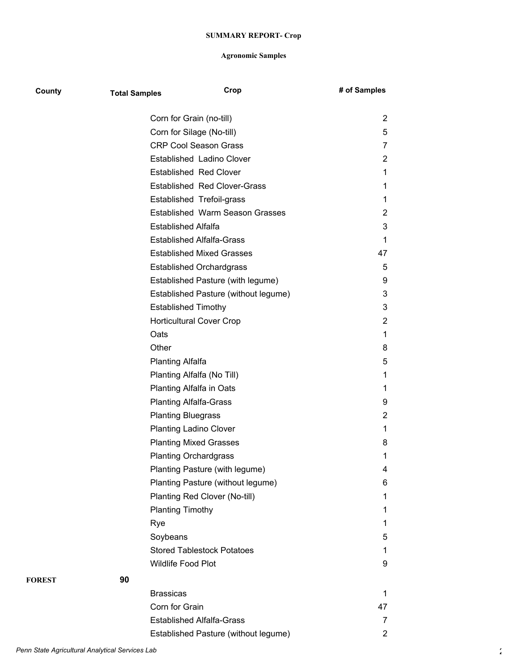| County        | <b>Total Samples</b> | Crop                                   | # of Samples   |
|---------------|----------------------|----------------------------------------|----------------|
|               |                      | Corn for Grain (no-till)               | 2              |
|               |                      | Corn for Silage (No-till)              | 5              |
|               |                      | <b>CRP Cool Season Grass</b>           | 7              |
|               |                      | Established Ladino Clover              | 2              |
|               |                      | <b>Established Red Clover</b>          | 1              |
|               |                      | <b>Established Red Clover-Grass</b>    | 1              |
|               |                      | Established Trefoil-grass              | 1              |
|               |                      | <b>Established Warm Season Grasses</b> | 2              |
|               |                      | <b>Established Alfalfa</b>             | 3              |
|               |                      | <b>Established Alfalfa-Grass</b>       | $\mathbf 1$    |
|               |                      | <b>Established Mixed Grasses</b>       | 47             |
|               |                      | <b>Established Orchardgrass</b>        | 5              |
|               |                      | Established Pasture (with legume)      | 9              |
|               |                      | Established Pasture (without legume)   | 3              |
|               |                      | <b>Established Timothy</b>             | 3              |
|               |                      | <b>Horticultural Cover Crop</b>        | $\overline{2}$ |
|               |                      | Oats                                   | $\mathbf 1$    |
|               |                      | Other                                  | 8              |
|               |                      | <b>Planting Alfalfa</b>                | 5              |
|               |                      | Planting Alfalfa (No Till)             | 1              |
|               |                      | Planting Alfalfa in Oats               | 1              |
|               |                      | <b>Planting Alfalfa-Grass</b>          | 9              |
|               |                      | <b>Planting Bluegrass</b>              | 2              |
|               |                      | <b>Planting Ladino Clover</b>          | $\mathbf{1}$   |
|               |                      | <b>Planting Mixed Grasses</b>          | 8              |
|               |                      | <b>Planting Orchardgrass</b>           | 1              |
|               |                      | Planting Pasture (with legume)         | 4              |
|               |                      | Planting Pasture (without legume)      | 6              |
|               |                      | Planting Red Clover (No-till)          | 1              |
|               |                      | <b>Planting Timothy</b>                | 1              |
|               |                      | Rye                                    | 1              |
|               |                      | Soybeans                               | 5              |
|               |                      | <b>Stored Tablestock Potatoes</b>      | 1              |
|               |                      | <b>Wildlife Food Plot</b>              | 9              |
| <b>FOREST</b> | 90                   |                                        |                |
|               |                      | <b>Brassicas</b>                       | 1              |
|               |                      | Corn for Grain                         | 47             |
|               |                      | <b>Established Alfalfa-Grass</b>       | 7              |
|               |                      | Established Pasture (without legume)   | 2              |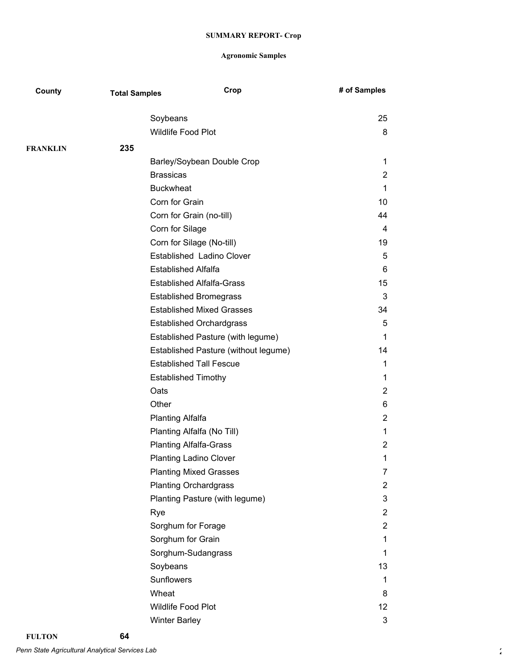| County          | <b>Total Samples</b> | Crop                                 | # of Samples    |
|-----------------|----------------------|--------------------------------------|-----------------|
|                 |                      | Soybeans                             | 25              |
|                 |                      | Wildlife Food Plot                   | 8               |
| <b>FRANKLIN</b> | 235                  |                                      |                 |
|                 |                      | Barley/Soybean Double Crop           | 1               |
|                 |                      | <b>Brassicas</b>                     | 2               |
|                 |                      | <b>Buckwheat</b>                     | 1               |
|                 |                      | Corn for Grain                       | 10              |
|                 |                      | Corn for Grain (no-till)             | 44              |
|                 |                      | Corn for Silage                      | 4               |
|                 |                      | Corn for Silage (No-till)            | 19              |
|                 |                      | Established Ladino Clover            | 5               |
|                 |                      | <b>Established Alfalfa</b>           | 6               |
|                 |                      | <b>Established Alfalfa-Grass</b>     | 15              |
|                 |                      | <b>Established Bromegrass</b>        | 3               |
|                 |                      | <b>Established Mixed Grasses</b>     | 34              |
|                 |                      | <b>Established Orchardgrass</b>      | 5               |
|                 |                      | Established Pasture (with legume)    | 1               |
|                 |                      | Established Pasture (without legume) | 14              |
|                 |                      | <b>Established Tall Fescue</b>       | 1               |
|                 |                      | <b>Established Timothy</b>           | 1               |
|                 |                      | Oats                                 | 2               |
|                 |                      | Other                                | 6               |
|                 |                      | <b>Planting Alfalfa</b>              | $\overline{c}$  |
|                 |                      | Planting Alfalfa (No Till)           | 1               |
|                 |                      | <b>Planting Alfalfa-Grass</b>        | 2               |
|                 |                      | <b>Planting Ladino Clover</b>        | 1               |
|                 |                      | <b>Planting Mixed Grasses</b>        | 7               |
|                 |                      | <b>Planting Orchardgrass</b>         | $\overline{2}$  |
|                 |                      | Planting Pasture (with legume)       | 3               |
|                 |                      | Rye                                  | $\overline{2}$  |
|                 |                      | Sorghum for Forage                   | $\overline{2}$  |
|                 |                      | Sorghum for Grain                    | 1               |
|                 |                      | Sorghum-Sudangrass                   | 1               |
|                 |                      | Soybeans                             | 13              |
|                 |                      | Sunflowers                           | 1               |
|                 |                      | Wheat                                | 8               |
|                 |                      | <b>Wildlife Food Plot</b>            | 12 <sup>2</sup> |
|                 |                      | <b>Winter Barley</b>                 | 3               |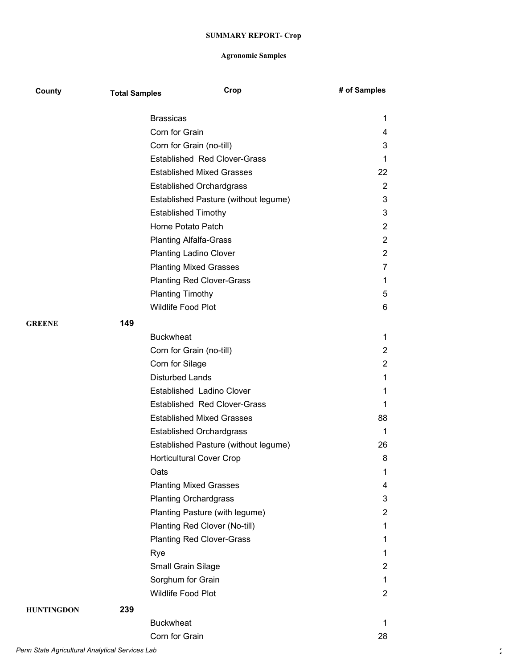| County            | <b>Total Samples</b> | Crop                                 | # of Samples   |
|-------------------|----------------------|--------------------------------------|----------------|
|                   |                      | <b>Brassicas</b>                     | 1              |
|                   |                      | Corn for Grain                       | 4              |
|                   |                      | Corn for Grain (no-till)             | 3              |
|                   |                      | <b>Established Red Clover-Grass</b>  | $\mathbf 1$    |
|                   |                      | <b>Established Mixed Grasses</b>     | 22             |
|                   |                      | <b>Established Orchardgrass</b>      | 2              |
|                   |                      | Established Pasture (without legume) | 3              |
|                   |                      | <b>Established Timothy</b>           | 3              |
|                   |                      | Home Potato Patch                    | $\overline{2}$ |
|                   |                      | <b>Planting Alfalfa-Grass</b>        | $\overline{2}$ |
|                   |                      | <b>Planting Ladino Clover</b>        | $\overline{c}$ |
|                   |                      | <b>Planting Mixed Grasses</b>        | 7              |
|                   |                      | <b>Planting Red Clover-Grass</b>     | 1              |
|                   |                      | <b>Planting Timothy</b>              | 5              |
|                   |                      | <b>Wildlife Food Plot</b>            | 6              |
| <b>GREENE</b>     | 149                  |                                      |                |
|                   |                      | <b>Buckwheat</b>                     | 1              |
|                   |                      | Corn for Grain (no-till)             | 2              |
|                   |                      | Corn for Silage                      | $\overline{2}$ |
|                   |                      | <b>Disturbed Lands</b>               | 1              |
|                   |                      | Established Ladino Clover            | 1              |
|                   |                      | <b>Established Red Clover-Grass</b>  | 1              |
|                   |                      | <b>Established Mixed Grasses</b>     | 88             |
|                   |                      | <b>Established Orchardgrass</b>      | 1              |
|                   |                      | Established Pasture (without legume) | 26             |
|                   |                      | <b>Horticultural Cover Crop</b>      | 8              |
|                   |                      | Oats                                 | 1              |
|                   |                      | <b>Planting Mixed Grasses</b>        | 4              |
|                   |                      | <b>Planting Orchardgrass</b>         | 3              |
|                   |                      | Planting Pasture (with legume)       | $\overline{2}$ |
|                   |                      | Planting Red Clover (No-till)        | 1              |
|                   |                      | <b>Planting Red Clover-Grass</b>     | 1              |
|                   |                      | Rye                                  | $\mathbf{1}$   |
|                   |                      | Small Grain Silage                   | $\overline{2}$ |
|                   |                      | Sorghum for Grain                    | 1              |
|                   |                      | Wildlife Food Plot                   | $\overline{2}$ |
| <b>HUNTINGDON</b> | 239                  |                                      |                |
|                   |                      | <b>Buckwheat</b>                     | 1              |
|                   |                      | Corn for Grain                       | 28             |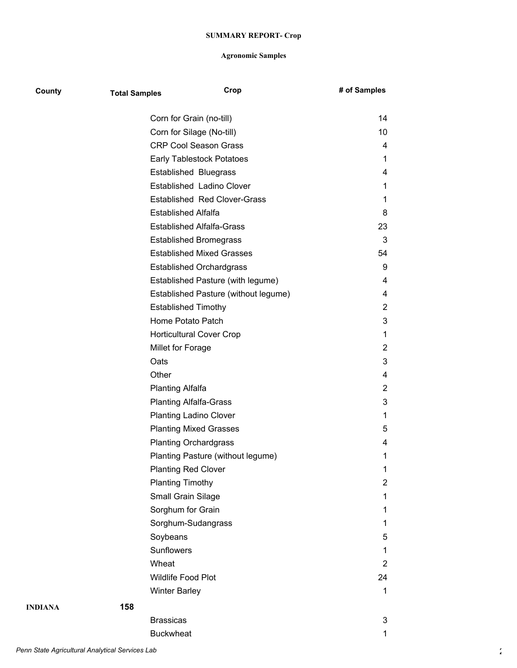| County  | <b>Total Samples</b> | Crop                                 | # of Samples          |
|---------|----------------------|--------------------------------------|-----------------------|
|         |                      | Corn for Grain (no-till)             | 14                    |
|         |                      | Corn for Silage (No-till)            | 10                    |
|         |                      | <b>CRP Cool Season Grass</b>         | 4                     |
|         |                      | Early Tablestock Potatoes            | 1                     |
|         |                      | <b>Established Bluegrass</b>         | 4                     |
|         |                      | Established Ladino Clover            | 1                     |
|         |                      | <b>Established Red Clover-Grass</b>  | 1                     |
|         |                      | <b>Established Alfalfa</b>           | 8                     |
|         |                      | <b>Established Alfalfa-Grass</b>     | 23                    |
|         |                      | <b>Established Bromegrass</b>        | 3                     |
|         |                      | <b>Established Mixed Grasses</b>     | 54                    |
|         |                      | <b>Established Orchardgrass</b>      | 9                     |
|         |                      | Established Pasture (with legume)    | 4                     |
|         |                      | Established Pasture (without legume) | 4                     |
|         |                      | <b>Established Timothy</b>           | $\overline{2}$        |
|         |                      | Home Potato Patch                    | 3                     |
|         |                      | <b>Horticultural Cover Crop</b>      | 1                     |
|         |                      | Millet for Forage                    | 2                     |
|         |                      | Oats                                 | 3                     |
|         |                      | Other                                | 4                     |
|         |                      | <b>Planting Alfalfa</b>              | 2                     |
|         |                      | <b>Planting Alfalfa-Grass</b>        | 3                     |
|         |                      | <b>Planting Ladino Clover</b>        | 1                     |
|         |                      | <b>Planting Mixed Grasses</b>        | 5                     |
|         |                      | <b>Planting Orchardgrass</b>         | 4                     |
|         |                      | Planting Pasture (without legume)    | 1                     |
|         |                      | <b>Planting Red Clover</b>           | 1                     |
|         |                      | <b>Planting Timothy</b>              | $\mathbf{2}^{\prime}$ |
|         |                      | Small Grain Silage                   | 1                     |
|         |                      | Sorghum for Grain                    | 1                     |
|         |                      | Sorghum-Sudangrass                   | 1                     |
|         |                      | Soybeans                             | 5                     |
|         |                      | Sunflowers                           | 1                     |
|         |                      | Wheat                                | $\mathbf{2}^{\prime}$ |
|         |                      | Wildlife Food Plot                   | 24                    |
|         |                      | <b>Winter Barley</b>                 | 1                     |
| INDIANA | 158                  |                                      |                       |
|         |                      | <b>Brassicas</b>                     | 3                     |
|         |                      | <b>Buckwheat</b>                     | 1                     |
|         |                      |                                      |                       |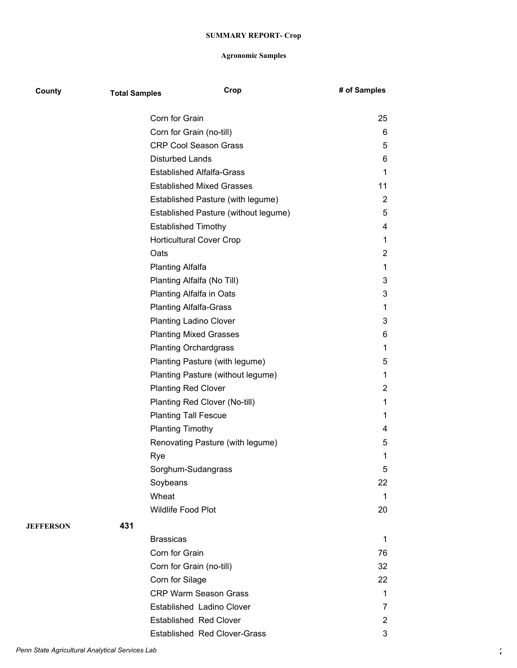| County           | <b>Total Samples</b> |                                  | Crop                                 | # of Samples   |
|------------------|----------------------|----------------------------------|--------------------------------------|----------------|
|                  |                      | Corn for Grain                   |                                      | 25             |
|                  |                      | Corn for Grain (no-till)         |                                      | 6              |
|                  |                      | <b>CRP Cool Season Grass</b>     |                                      | 5              |
|                  |                      | <b>Disturbed Lands</b>           |                                      | 6              |
|                  |                      | <b>Established Alfalfa-Grass</b> |                                      | 1              |
|                  |                      |                                  | <b>Established Mixed Grasses</b>     | 11             |
|                  |                      |                                  | Established Pasture (with legume)    | $\overline{2}$ |
|                  |                      |                                  | Established Pasture (without legume) | 5              |
|                  |                      | <b>Established Timothy</b>       |                                      | 4              |
|                  |                      | <b>Horticultural Cover Crop</b>  |                                      | 1              |
|                  |                      | Oats                             |                                      | 2              |
|                  |                      | <b>Planting Alfalfa</b>          |                                      | 1              |
|                  |                      | Planting Alfalfa (No Till)       |                                      | 3              |
|                  |                      | Planting Alfalfa in Oats         |                                      | 3              |
|                  |                      | <b>Planting Alfalfa-Grass</b>    |                                      | 1              |
|                  |                      | <b>Planting Ladino Clover</b>    |                                      | 3              |
|                  |                      | <b>Planting Mixed Grasses</b>    |                                      | 6              |
|                  |                      | <b>Planting Orchardgrass</b>     |                                      | 1              |
|                  |                      |                                  | Planting Pasture (with legume)       | 5              |
|                  |                      |                                  | Planting Pasture (without legume)    | 1              |
|                  |                      | <b>Planting Red Clover</b>       |                                      | 2              |
|                  |                      |                                  | Planting Red Clover (No-till)        | 1              |
|                  |                      | <b>Planting Tall Fescue</b>      |                                      | 1              |
|                  |                      | <b>Planting Timothy</b>          |                                      | 4              |
|                  |                      |                                  | Renovating Pasture (with legume)     | 5              |
|                  |                      | Rye                              |                                      | 1              |
|                  |                      | Sorghum-Sudangrass               |                                      | 5              |
|                  |                      | Soybeans                         |                                      | 22             |
|                  |                      | Wheat                            |                                      | 1              |
|                  |                      | <b>Wildlife Food Plot</b>        |                                      | 20             |
| <b>JEFFERSON</b> | 431                  |                                  |                                      |                |
|                  |                      | <b>Brassicas</b>                 |                                      | 1              |
|                  |                      | Corn for Grain                   |                                      | 76             |
|                  |                      | Corn for Grain (no-till)         |                                      | 32             |
|                  |                      | Corn for Silage                  |                                      | 22             |
|                  |                      |                                  | <b>CRP Warm Season Grass</b>         | 1              |
|                  |                      |                                  | Established Ladino Clover            | 7              |
|                  |                      | <b>Established Red Clover</b>    |                                      | 2              |
|                  |                      |                                  | <b>Established Red Clover-Grass</b>  | 3              |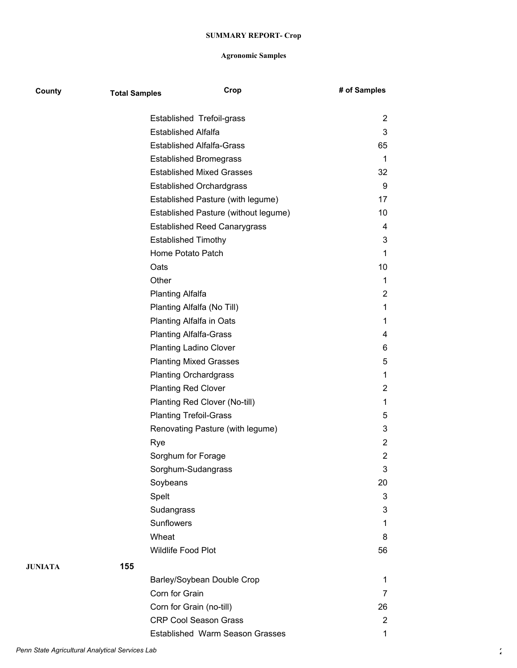| County  | <b>Total Samples</b> | Crop                                 | # of Samples   |
|---------|----------------------|--------------------------------------|----------------|
|         |                      | Established Trefoil-grass            | 2              |
|         |                      | <b>Established Alfalfa</b>           | 3              |
|         |                      | <b>Established Alfalfa-Grass</b>     | 65             |
|         |                      | <b>Established Bromegrass</b>        | 1              |
|         |                      | <b>Established Mixed Grasses</b>     | 32             |
|         |                      | <b>Established Orchardgrass</b>      | 9              |
|         |                      | Established Pasture (with legume)    | 17             |
|         |                      | Established Pasture (without legume) | 10             |
|         |                      | <b>Established Reed Canarygrass</b>  | 4              |
|         |                      | <b>Established Timothy</b>           | 3              |
|         |                      | Home Potato Patch                    | 1              |
|         |                      | Oats                                 | 10             |
|         |                      | Other                                | 1              |
|         |                      | <b>Planting Alfalfa</b>              | 2              |
|         |                      | Planting Alfalfa (No Till)           | $\mathbf 1$    |
|         |                      | Planting Alfalfa in Oats             | 1              |
|         |                      | <b>Planting Alfalfa-Grass</b>        | 4              |
|         |                      | <b>Planting Ladino Clover</b>        | 6              |
|         |                      | <b>Planting Mixed Grasses</b>        | 5              |
|         |                      | <b>Planting Orchardgrass</b>         | 1              |
|         |                      | <b>Planting Red Clover</b>           | 2              |
|         |                      | Planting Red Clover (No-till)        | 1              |
|         |                      | <b>Planting Trefoil-Grass</b>        | 5              |
|         |                      | Renovating Pasture (with legume)     | 3              |
|         |                      | Rye                                  | $\overline{2}$ |
|         |                      | Sorghum for Forage                   | $\overline{2}$ |
|         |                      | Sorghum-Sudangrass                   | 3              |
|         |                      | Soybeans                             | 20             |
|         |                      | Spelt                                | 3              |
|         |                      | Sudangrass                           | 3              |
|         |                      | Sunflowers                           | 1              |
|         |                      | Wheat                                | 8              |
|         |                      | Wildlife Food Plot                   | 56             |
| JUNIATA | 155                  |                                      |                |
|         |                      | Barley/Soybean Double Crop           | 1              |
|         |                      | Corn for Grain                       | 7              |
|         |                      | Corn for Grain (no-till)             | 26             |
|         |                      | <b>CRP Cool Season Grass</b>         | $\overline{2}$ |
|         |                      | Established Warm Season Grasses      | $\mathbf{1}$   |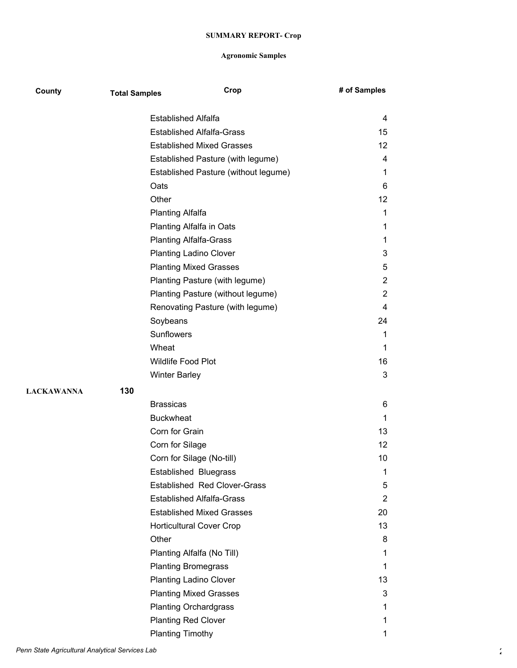| County            | <b>Total Samples</b> | Crop                                 | # of Samples    |
|-------------------|----------------------|--------------------------------------|-----------------|
|                   |                      | <b>Established Alfalfa</b>           | 4               |
|                   |                      | <b>Established Alfalfa-Grass</b>     | 15              |
|                   |                      | <b>Established Mixed Grasses</b>     | 12 <sup>°</sup> |
|                   |                      | Established Pasture (with legume)    | 4               |
|                   |                      | Established Pasture (without legume) | 1               |
|                   |                      | Oats                                 | 6               |
|                   |                      | Other                                | 12              |
|                   |                      | <b>Planting Alfalfa</b>              | 1               |
|                   |                      | Planting Alfalfa in Oats             | 1               |
|                   |                      | <b>Planting Alfalfa-Grass</b>        | 1               |
|                   |                      | <b>Planting Ladino Clover</b>        | 3               |
|                   |                      | <b>Planting Mixed Grasses</b>        | 5               |
|                   |                      | Planting Pasture (with legume)       | $\overline{2}$  |
|                   |                      | Planting Pasture (without legume)    | $\overline{2}$  |
|                   |                      | Renovating Pasture (with legume)     | 4               |
|                   |                      | Soybeans                             | 24              |
|                   |                      | <b>Sunflowers</b>                    | 1               |
|                   |                      | Wheat                                | $\mathbf 1$     |
|                   |                      | Wildlife Food Plot                   | 16              |
|                   |                      |                                      | 3               |
|                   |                      | <b>Winter Barley</b>                 |                 |
| <b>LACKAWANNA</b> | 130                  |                                      |                 |
|                   |                      | <b>Brassicas</b>                     | 6               |
|                   |                      | <b>Buckwheat</b>                     | $\mathbf 1$     |
|                   |                      | Corn for Grain                       | 13              |
|                   |                      | Corn for Silage                      | 12              |
|                   |                      | Corn for Silage (No-till)            | 10              |
|                   |                      | <b>Established Bluegrass</b>         | 1               |
|                   |                      | <b>Established Red Clover-Grass</b>  | 5               |
|                   |                      | <b>Established Alfalfa-Grass</b>     | 2               |
|                   |                      | <b>Established Mixed Grasses</b>     | 20              |
|                   |                      | <b>Horticultural Cover Crop</b>      | 13              |
|                   |                      | Other                                | 8               |
|                   |                      | Planting Alfalfa (No Till)           | 1               |
|                   |                      | <b>Planting Bromegrass</b>           | 1               |
|                   |                      | <b>Planting Ladino Clover</b>        | 13              |
|                   |                      | <b>Planting Mixed Grasses</b>        | 3               |
|                   |                      | <b>Planting Orchardgrass</b>         | 1               |
|                   |                      | <b>Planting Red Clover</b>           | 1               |
|                   |                      | <b>Planting Timothy</b>              | 1               |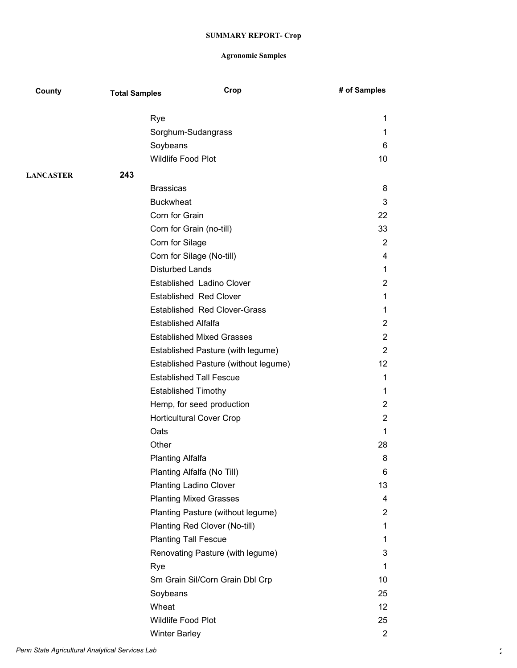| County           | <b>Total Samples</b> | Crop                                 | # of Samples      |
|------------------|----------------------|--------------------------------------|-------------------|
|                  | Rye                  |                                      | 1                 |
|                  |                      | Sorghum-Sudangrass                   | 1                 |
|                  | Soybeans             |                                      | 6                 |
|                  |                      | Wildlife Food Plot                   | 10                |
| <b>LANCASTER</b> | 243                  |                                      |                   |
|                  | <b>Brassicas</b>     |                                      | 8                 |
|                  | <b>Buckwheat</b>     |                                      | 3                 |
|                  | Corn for Grain       |                                      | 22                |
|                  |                      | Corn for Grain (no-till)             | 33                |
|                  |                      | Corn for Silage                      | $\overline{2}$    |
|                  |                      | Corn for Silage (No-till)            | 4                 |
|                  |                      | <b>Disturbed Lands</b>               | 1                 |
|                  |                      | Established Ladino Clover            | 2                 |
|                  |                      | <b>Established Red Clover</b>        | 1                 |
|                  |                      | <b>Established Red Clover-Grass</b>  | 1                 |
|                  |                      | <b>Established Alfalfa</b>           | 2                 |
|                  |                      | <b>Established Mixed Grasses</b>     | $\overline{2}$    |
|                  |                      | Established Pasture (with legume)    | 2                 |
|                  |                      | Established Pasture (without legume) | $12 \overline{ }$ |
|                  |                      | <b>Established Tall Fescue</b>       | 1                 |
|                  |                      | <b>Established Timothy</b>           | 1                 |
|                  |                      | Hemp, for seed production            | 2                 |
|                  |                      | <b>Horticultural Cover Crop</b>      | $\overline{2}$    |
|                  | Oats                 |                                      | 1                 |
|                  | Other                |                                      | 28                |
|                  |                      | <b>Planting Alfalfa</b>              | 8                 |
|                  |                      | Planting Alfalfa (No Till)           | 6                 |
|                  |                      | <b>Planting Ladino Clover</b>        | 13                |
|                  |                      | <b>Planting Mixed Grasses</b>        | 4                 |
|                  |                      | Planting Pasture (without legume)    | 2                 |
|                  |                      | Planting Red Clover (No-till)        | 1                 |
|                  |                      | <b>Planting Tall Fescue</b>          | 1                 |
|                  |                      | Renovating Pasture (with legume)     | 3                 |
|                  | Rye                  |                                      | 1                 |
|                  |                      | Sm Grain Sil/Corn Grain Dbl Crp      | 10                |
|                  | Soybeans             |                                      | 25                |
|                  | Wheat                |                                      | 12                |
|                  |                      | Wildlife Food Plot                   | 25                |
|                  | <b>Winter Barley</b> |                                      | 2                 |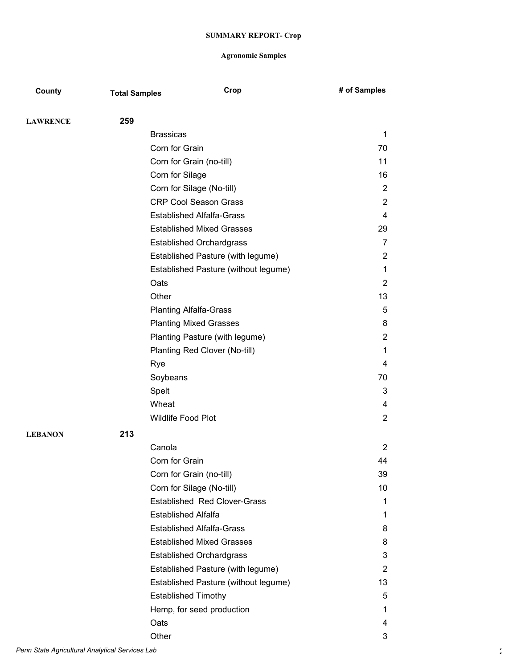| County          | <b>Total Samples</b> | Crop                                 | # of Samples   |
|-----------------|----------------------|--------------------------------------|----------------|
| <b>LAWRENCE</b> | 259                  |                                      |                |
|                 |                      | <b>Brassicas</b>                     | $\mathbf 1$    |
|                 |                      | Corn for Grain                       | 70             |
|                 |                      | Corn for Grain (no-till)             | 11             |
|                 |                      | Corn for Silage                      | 16             |
|                 |                      | Corn for Silage (No-till)            | $\overline{2}$ |
|                 |                      | <b>CRP Cool Season Grass</b>         | $\overline{2}$ |
|                 |                      | <b>Established Alfalfa-Grass</b>     | 4              |
|                 |                      | <b>Established Mixed Grasses</b>     | 29             |
|                 |                      | <b>Established Orchardgrass</b>      | 7              |
|                 |                      | Established Pasture (with legume)    | 2              |
|                 |                      | Established Pasture (without legume) | 1              |
|                 |                      | Oats                                 | 2              |
|                 |                      | Other                                | 13             |
|                 |                      | <b>Planting Alfalfa-Grass</b>        | 5              |
|                 |                      | <b>Planting Mixed Grasses</b>        | 8              |
|                 |                      | Planting Pasture (with legume)       | $\overline{2}$ |
|                 |                      | Planting Red Clover (No-till)        | 1              |
|                 |                      | Rye                                  | 4              |
|                 |                      | Soybeans                             | 70             |
|                 |                      | Spelt                                | 3              |
|                 |                      | Wheat                                | 4              |
|                 |                      | <b>Wildlife Food Plot</b>            | 2              |
| <b>LEBANON</b>  | 213                  |                                      |                |
|                 |                      | Canola                               | 2              |
|                 |                      | Corn for Grain                       | 44             |
|                 |                      | Corn for Grain (no-till)             | 39             |
|                 |                      | Corn for Silage (No-till)            | 10             |
|                 |                      | <b>Established Red Clover-Grass</b>  | 1              |
|                 |                      | <b>Established Alfalfa</b>           | 1              |
|                 |                      | <b>Established Alfalfa-Grass</b>     | 8              |
|                 |                      | <b>Established Mixed Grasses</b>     | 8              |
|                 |                      | <b>Established Orchardgrass</b>      | 3              |
|                 |                      | Established Pasture (with legume)    | $\overline{2}$ |
|                 |                      | Established Pasture (without legume) | 13             |
|                 |                      | <b>Established Timothy</b>           | 5              |
|                 |                      | Hemp, for seed production            | 1              |
|                 |                      | Oats                                 | 4              |
|                 |                      | Other                                | 3              |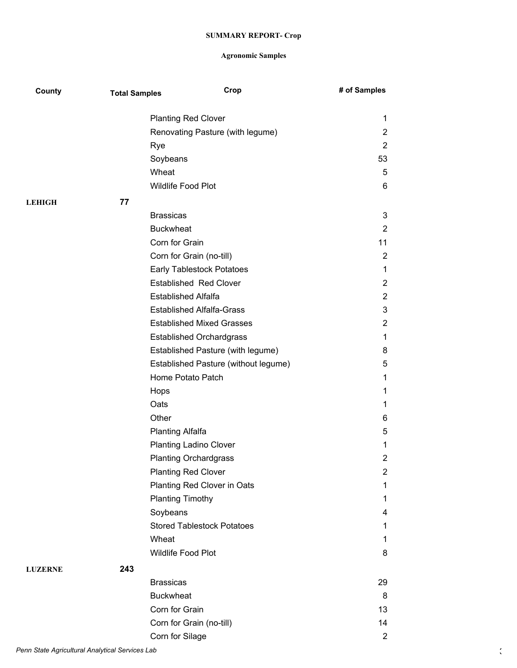| County         | <b>Total Samples</b> | Crop                                 | # of Samples   |
|----------------|----------------------|--------------------------------------|----------------|
|                |                      | <b>Planting Red Clover</b>           | 1              |
|                |                      | Renovating Pasture (with legume)     | $\overline{2}$ |
|                |                      | Rye                                  | $\overline{2}$ |
|                |                      | Soybeans                             | 53             |
|                |                      | Wheat                                | 5              |
|                |                      | Wildlife Food Plot                   | 6              |
| <b>LEHIGH</b>  | 77                   |                                      |                |
|                |                      | <b>Brassicas</b>                     | 3              |
|                |                      | <b>Buckwheat</b>                     | $\overline{2}$ |
|                |                      | Corn for Grain                       | 11             |
|                |                      | Corn for Grain (no-till)             | 2              |
|                |                      | <b>Early Tablestock Potatoes</b>     | 1              |
|                |                      | <b>Established Red Clover</b>        | 2              |
|                |                      | <b>Established Alfalfa</b>           | $\overline{2}$ |
|                |                      | <b>Established Alfalfa-Grass</b>     | 3              |
|                |                      | <b>Established Mixed Grasses</b>     | 2              |
|                |                      | <b>Established Orchardgrass</b>      | 1              |
|                |                      | Established Pasture (with legume)    | 8              |
|                |                      | Established Pasture (without legume) | 5              |
|                |                      | Home Potato Patch                    | 1              |
|                |                      | Hops                                 | 1              |
|                |                      | Oats                                 | 1              |
|                |                      | Other                                | 6              |
|                |                      | <b>Planting Alfalfa</b>              | 5              |
|                |                      | <b>Planting Ladino Clover</b>        | 1              |
|                |                      | <b>Planting Orchardgrass</b>         | 2              |
|                |                      | <b>Planting Red Clover</b>           | $\overline{c}$ |
|                |                      | Planting Red Clover in Oats          | 1              |
|                |                      | <b>Planting Timothy</b>              | 1.             |
|                |                      | Soybeans                             | 4              |
|                |                      | <b>Stored Tablestock Potatoes</b>    | 1              |
|                |                      | Wheat                                | 1              |
|                |                      | Wildlife Food Plot                   | 8              |
| <b>LUZERNE</b> | 243                  |                                      |                |
|                |                      | <b>Brassicas</b>                     | 29             |
|                |                      | <b>Buckwheat</b>                     | 8              |
|                |                      | Corn for Grain                       | 13             |
|                |                      | Corn for Grain (no-till)             | 14             |
|                |                      | Corn for Silage                      | $\overline{2}$ |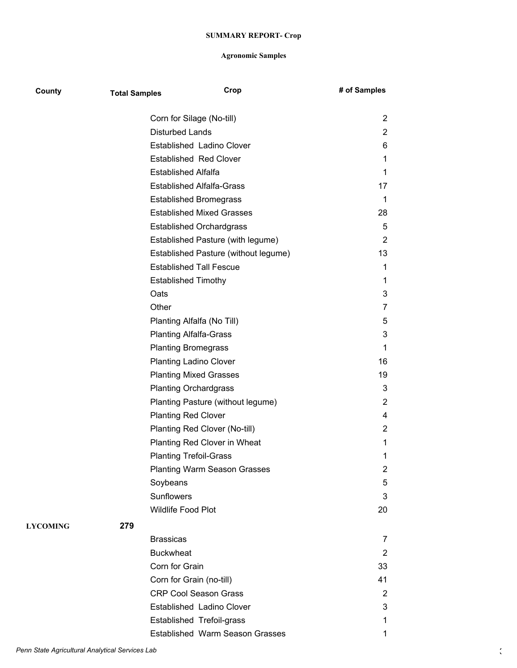| County          | <b>Total Samples</b> | Crop                                 | # of Samples   |
|-----------------|----------------------|--------------------------------------|----------------|
|                 |                      | Corn for Silage (No-till)            | $\overline{2}$ |
|                 |                      | <b>Disturbed Lands</b>               | $\overline{2}$ |
|                 |                      | Established Ladino Clover            | 6              |
|                 |                      | <b>Established Red Clover</b>        | 1              |
|                 |                      | <b>Established Alfalfa</b>           | 1              |
|                 |                      | <b>Established Alfalfa-Grass</b>     | 17             |
|                 |                      | <b>Established Bromegrass</b>        | 1              |
|                 |                      | <b>Established Mixed Grasses</b>     | 28             |
|                 |                      | <b>Established Orchardgrass</b>      | 5              |
|                 |                      | Established Pasture (with legume)    | $\overline{2}$ |
|                 |                      | Established Pasture (without legume) | 13             |
|                 |                      | <b>Established Tall Fescue</b>       | 1              |
|                 |                      | <b>Established Timothy</b>           | 1              |
|                 |                      | Oats                                 | 3              |
|                 |                      | Other                                | 7              |
|                 |                      | Planting Alfalfa (No Till)           | 5              |
|                 |                      | <b>Planting Alfalfa-Grass</b>        | 3              |
|                 |                      | <b>Planting Bromegrass</b>           | 1              |
|                 |                      | <b>Planting Ladino Clover</b>        | 16             |
|                 |                      | <b>Planting Mixed Grasses</b>        | 19             |
|                 |                      | <b>Planting Orchardgrass</b>         | 3              |
|                 |                      | Planting Pasture (without legume)    | 2              |
|                 |                      | <b>Planting Red Clover</b>           | 4              |
|                 |                      | Planting Red Clover (No-till)        | 2              |
|                 |                      | Planting Red Clover in Wheat         | 1              |
|                 |                      | <b>Planting Trefoil-Grass</b>        | 1              |
|                 |                      | <b>Planting Warm Season Grasses</b>  | $\overline{2}$ |
|                 |                      | Soybeans                             | 5              |
|                 |                      | <b>Sunflowers</b>                    | 3              |
|                 |                      | <b>Wildlife Food Plot</b>            | 20             |
| <b>LYCOMING</b> | 279                  |                                      |                |
|                 |                      | <b>Brassicas</b>                     | 7              |
|                 |                      | <b>Buckwheat</b>                     | 2              |
|                 |                      | Corn for Grain                       | 33             |
|                 |                      | Corn for Grain (no-till)             | 41             |
|                 |                      | <b>CRP Cool Season Grass</b>         | 2              |
|                 |                      | Established Ladino Clover            | 3              |
|                 |                      | Established Trefoil-grass            | 1              |
|                 |                      | Established Warm Season Grasses      | 1              |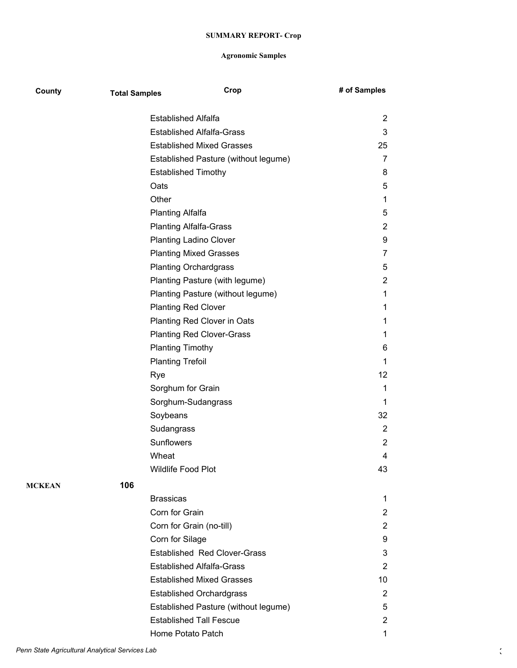| County        | <b>Total Samples</b> | Crop                                 | # of Samples   |
|---------------|----------------------|--------------------------------------|----------------|
|               |                      | <b>Established Alfalfa</b>           | 2              |
|               |                      | <b>Established Alfalfa-Grass</b>     | 3              |
|               |                      | <b>Established Mixed Grasses</b>     | 25             |
|               |                      | Established Pasture (without legume) | 7              |
|               |                      | <b>Established Timothy</b>           | 8              |
|               |                      | Oats                                 | 5              |
|               |                      | Other                                | 1              |
|               |                      | <b>Planting Alfalfa</b>              | 5              |
|               |                      | <b>Planting Alfalfa-Grass</b>        | $\overline{2}$ |
|               |                      | <b>Planting Ladino Clover</b>        | 9              |
|               |                      | <b>Planting Mixed Grasses</b>        | 7              |
|               |                      | <b>Planting Orchardgrass</b>         | 5              |
|               |                      | Planting Pasture (with legume)       | 2              |
|               |                      | Planting Pasture (without legume)    | 1              |
|               |                      | <b>Planting Red Clover</b>           | 1              |
|               |                      | Planting Red Clover in Oats          | 1              |
|               |                      | <b>Planting Red Clover-Grass</b>     | 1              |
|               |                      | <b>Planting Timothy</b>              | 6              |
|               |                      | <b>Planting Trefoil</b>              | 1              |
|               |                      | Rye                                  | 12             |
|               |                      | Sorghum for Grain                    | 1              |
|               |                      | Sorghum-Sudangrass                   | 1              |
|               |                      | Soybeans                             | 32             |
|               |                      | Sudangrass                           | 2              |
|               |                      | <b>Sunflowers</b>                    | $\overline{2}$ |
|               |                      | Wheat                                | 4              |
|               |                      | Wildlife Food Plot                   | 43             |
| <b>MCKEAN</b> | 106                  |                                      |                |
|               |                      | <b>Brassicas</b>                     | 1              |
|               |                      | Corn for Grain                       | 2              |
|               |                      | Corn for Grain (no-till)             | $\overline{2}$ |
|               |                      | Corn for Silage                      | 9              |
|               |                      | <b>Established Red Clover-Grass</b>  | 3              |
|               |                      | <b>Established Alfalfa-Grass</b>     | $\overline{2}$ |
|               |                      | <b>Established Mixed Grasses</b>     | 10             |
|               |                      | <b>Established Orchardgrass</b>      | $\overline{2}$ |
|               |                      | Established Pasture (without legume) | 5              |
|               |                      | <b>Established Tall Fescue</b>       | $\overline{2}$ |
|               |                      | Home Potato Patch                    | 1              |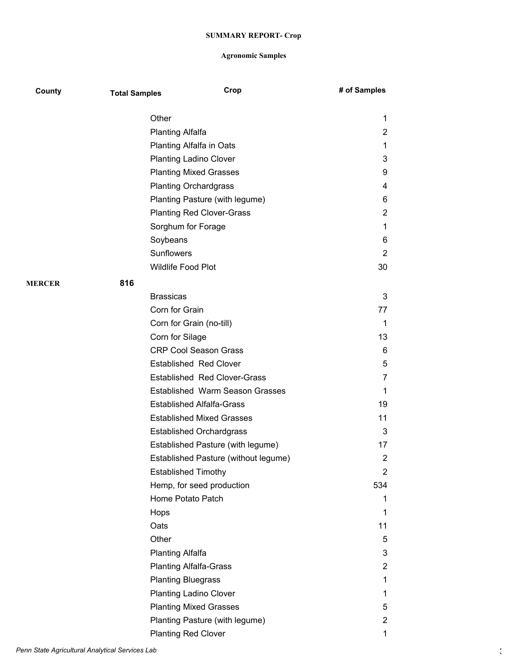| County        | <b>Total Samples</b> | Crop                                   | # of Samples   |
|---------------|----------------------|----------------------------------------|----------------|
|               | Other                |                                        | 1              |
|               |                      | <b>Planting Alfalfa</b>                | 2              |
|               |                      | <b>Planting Alfalfa in Oats</b>        | 1              |
|               |                      | <b>Planting Ladino Clover</b>          | 3              |
|               |                      | <b>Planting Mixed Grasses</b>          | 9              |
|               |                      | <b>Planting Orchardgrass</b>           | 4              |
|               |                      | Planting Pasture (with legume)         | 6              |
|               |                      | <b>Planting Red Clover-Grass</b>       | $\overline{2}$ |
|               |                      | Sorghum for Forage                     | 1              |
|               | Soybeans             |                                        | 6              |
|               | <b>Sunflowers</b>    |                                        | $\overline{2}$ |
|               |                      | <b>Wildlife Food Plot</b>              | 30             |
| <b>MERCER</b> | 816                  |                                        |                |
|               | <b>Brassicas</b>     |                                        | 3              |
|               |                      | Corn for Grain                         | 77             |
|               |                      | Corn for Grain (no-till)               | 1              |
|               |                      | Corn for Silage                        | 13             |
|               |                      | <b>CRP Cool Season Grass</b>           | 6              |
|               |                      | <b>Established Red Clover</b>          | 5              |
|               |                      | <b>Established Red Clover-Grass</b>    | 7              |
|               |                      | <b>Established Warm Season Grasses</b> | 1              |
|               |                      | <b>Established Alfalfa-Grass</b>       | 19             |
|               |                      | <b>Established Mixed Grasses</b>       | 11             |
|               |                      | <b>Established Orchardgrass</b>        | 3              |
|               |                      | Established Pasture (with legume)      | 17             |
|               |                      | Established Pasture (without legume)   | $\overline{2}$ |
|               |                      | <b>Established Timothy</b>             | 2              |
|               |                      | Hemp, for seed production              | 534            |
|               |                      | Home Potato Patch                      | 1              |
|               | Hops                 |                                        | 1              |
|               | Oats                 |                                        | 11             |
|               | Other                |                                        | 5              |
|               |                      | <b>Planting Alfalfa</b>                | 3              |
|               |                      | <b>Planting Alfalfa-Grass</b>          | $\overline{2}$ |
|               |                      | <b>Planting Bluegrass</b>              | 1              |
|               |                      | <b>Planting Ladino Clover</b>          | 1              |
|               |                      | <b>Planting Mixed Grasses</b>          | 5              |
|               |                      | Planting Pasture (with legume)         | 2              |
|               |                      | <b>Planting Red Clover</b>             | 1              |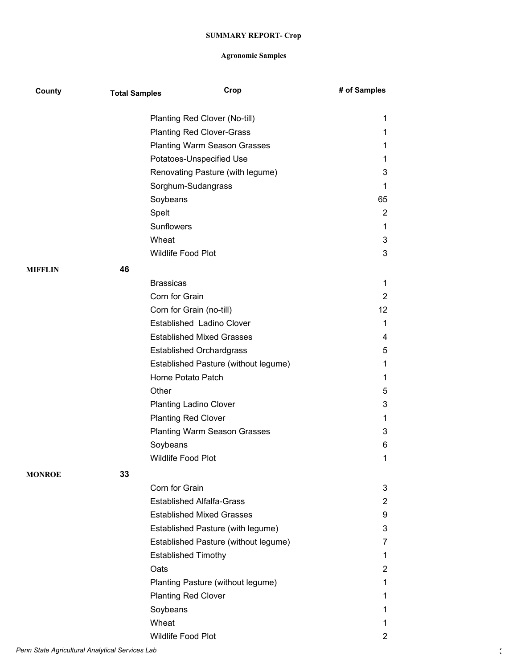| County         | <b>Total Samples</b> | Crop                                 | # of Samples    |
|----------------|----------------------|--------------------------------------|-----------------|
|                |                      | Planting Red Clover (No-till)        | 1               |
|                |                      | <b>Planting Red Clover-Grass</b>     | 1               |
|                |                      | <b>Planting Warm Season Grasses</b>  | 1               |
|                |                      | Potatoes-Unspecified Use             | 1               |
|                |                      | Renovating Pasture (with legume)     | 3               |
|                |                      | Sorghum-Sudangrass                   | 1               |
|                |                      | Soybeans                             | 65              |
|                |                      | Spelt                                | $\overline{2}$  |
|                |                      | <b>Sunflowers</b>                    | 1               |
|                |                      | Wheat                                | 3               |
|                |                      | Wildlife Food Plot                   | 3               |
| <b>MIFFLIN</b> | 46                   |                                      |                 |
|                |                      | <b>Brassicas</b>                     | 1               |
|                |                      | Corn for Grain                       | $\overline{2}$  |
|                |                      | Corn for Grain (no-till)             | 12 <sup>2</sup> |
|                |                      | Established Ladino Clover            | 1               |
|                |                      | <b>Established Mixed Grasses</b>     | 4               |
|                |                      | <b>Established Orchardgrass</b>      | 5               |
|                |                      | Established Pasture (without legume) | 1               |
|                |                      | Home Potato Patch                    | 1               |
|                |                      | Other                                | 5               |
|                |                      | <b>Planting Ladino Clover</b>        | 3               |
|                |                      | <b>Planting Red Clover</b>           | 1               |
|                |                      | <b>Planting Warm Season Grasses</b>  | 3               |
|                |                      | Soybeans                             | 6               |
|                |                      | Wildlife Food Plot                   | 1               |
| <b>MONROE</b>  | 33                   |                                      |                 |
|                |                      | Corn for Grain                       | 3               |
|                |                      | <b>Established Alfalfa-Grass</b>     | 2               |
|                |                      | <b>Established Mixed Grasses</b>     | 9               |
|                |                      | Established Pasture (with legume)    | 3               |
|                |                      | Established Pasture (without legume) | 7               |
|                |                      | <b>Established Timothy</b>           | 1               |
|                |                      | Oats                                 | $\overline{c}$  |
|                |                      | Planting Pasture (without legume)    | 1               |
|                |                      | <b>Planting Red Clover</b>           | 1               |
|                |                      | Soybeans                             | 1               |
|                |                      | Wheat                                | 1               |
|                |                      | Wildlife Food Plot                   | $\overline{2}$  |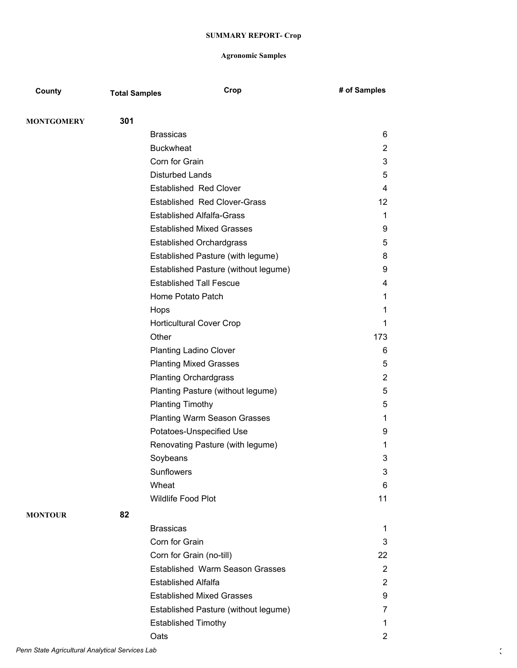| County            | <b>Total Samples</b> | Crop                                   | # of Samples   |
|-------------------|----------------------|----------------------------------------|----------------|
|                   | 301                  |                                        |                |
| <b>MONTGOMERY</b> |                      | <b>Brassicas</b>                       | 6              |
|                   |                      | <b>Buckwheat</b>                       | $\overline{2}$ |
|                   |                      | Corn for Grain                         | 3              |
|                   |                      | <b>Disturbed Lands</b>                 | 5              |
|                   |                      | <b>Established Red Clover</b>          | 4              |
|                   |                      | <b>Established Red Clover-Grass</b>    | 12             |
|                   |                      | <b>Established Alfalfa-Grass</b>       | 1              |
|                   |                      | <b>Established Mixed Grasses</b>       | 9              |
|                   |                      | <b>Established Orchardgrass</b>        | 5              |
|                   |                      | Established Pasture (with legume)      | 8              |
|                   |                      | Established Pasture (without legume)   | 9              |
|                   |                      | <b>Established Tall Fescue</b>         | 4              |
|                   |                      | Home Potato Patch                      | 1              |
|                   |                      | Hops                                   | 1              |
|                   |                      | <b>Horticultural Cover Crop</b>        | 1              |
|                   |                      | Other                                  | 173            |
|                   |                      | <b>Planting Ladino Clover</b>          | 6              |
|                   |                      | <b>Planting Mixed Grasses</b>          | 5              |
|                   |                      | <b>Planting Orchardgrass</b>           | 2              |
|                   |                      | Planting Pasture (without legume)      | 5              |
|                   |                      | <b>Planting Timothy</b>                | 5              |
|                   |                      | <b>Planting Warm Season Grasses</b>    | 1              |
|                   |                      | Potatoes-Unspecified Use               | 9              |
|                   |                      | Renovating Pasture (with legume)       | 1              |
|                   |                      | Soybeans                               | 3              |
|                   |                      | Sunflowers                             | 3              |
|                   |                      | Wheat                                  | 6              |
|                   |                      | Wildlife Food Plot                     | 11             |
| <b>MONTOUR</b>    | 82                   |                                        |                |
|                   |                      | <b>Brassicas</b>                       | 1              |
|                   |                      | Corn for Grain                         | 3              |
|                   |                      | Corn for Grain (no-till)               | 22             |
|                   |                      | <b>Established Warm Season Grasses</b> | 2              |
|                   |                      | <b>Established Alfalfa</b>             | $\overline{2}$ |
|                   |                      | <b>Established Mixed Grasses</b>       | 9              |
|                   |                      | Established Pasture (without legume)   | 7              |
|                   |                      | <b>Established Timothy</b>             | 1              |
|                   |                      | Oats                                   | $\overline{c}$ |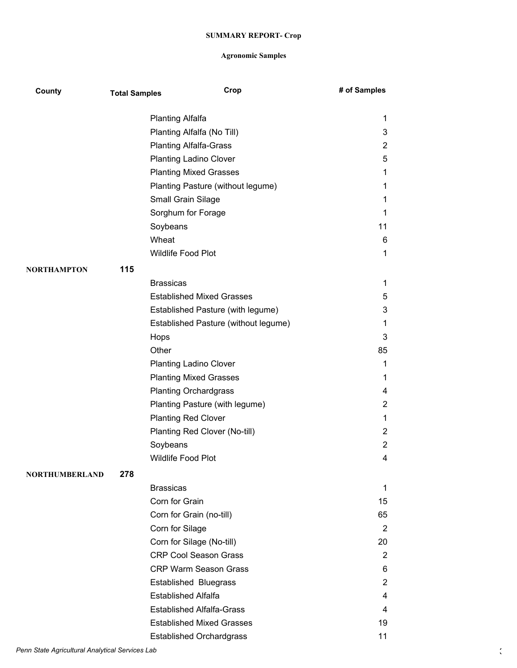| County                | <b>Total Samples</b> | Crop                                 | # of Samples   |
|-----------------------|----------------------|--------------------------------------|----------------|
|                       |                      | Planting Alfalfa                     | 1              |
|                       |                      | Planting Alfalfa (No Till)           | 3              |
|                       |                      | <b>Planting Alfalfa-Grass</b>        | $\overline{2}$ |
|                       |                      | <b>Planting Ladino Clover</b>        | 5              |
|                       |                      | <b>Planting Mixed Grasses</b>        | 1              |
|                       |                      | Planting Pasture (without legume)    | 1              |
|                       |                      | Small Grain Silage                   | $\mathbf{1}$   |
|                       |                      | Sorghum for Forage                   | 1              |
|                       |                      | Soybeans                             | 11             |
|                       |                      | Wheat                                | 6              |
|                       |                      | Wildlife Food Plot                   | 1              |
| <b>NORTHAMPTON</b>    | 115                  |                                      |                |
|                       |                      | <b>Brassicas</b>                     | $\mathbf{1}$   |
|                       |                      | <b>Established Mixed Grasses</b>     | 5              |
|                       |                      | Established Pasture (with legume)    | 3              |
|                       |                      | Established Pasture (without legume) | 1              |
|                       |                      | Hops                                 | 3              |
|                       |                      | Other                                | 85             |
|                       |                      | <b>Planting Ladino Clover</b>        | $\mathbf{1}$   |
|                       |                      | <b>Planting Mixed Grasses</b>        | 1              |
|                       |                      | <b>Planting Orchardgrass</b>         | 4              |
|                       |                      | Planting Pasture (with legume)       | $\overline{2}$ |
|                       |                      | <b>Planting Red Clover</b>           | $\mathbf{1}$   |
|                       |                      | Planting Red Clover (No-till)        | $\overline{2}$ |
|                       |                      | Soybeans                             | $\overline{2}$ |
|                       |                      | Wildlife Food Plot                   | 4              |
| <b>NORTHUMBERLAND</b> | 278                  |                                      |                |
|                       |                      | <b>Brassicas</b>                     | $\mathbf 1$    |
|                       |                      | Corn for Grain                       | 15             |
|                       |                      | Corn for Grain (no-till)             | 65             |
|                       |                      | Corn for Silage                      | $\overline{2}$ |
|                       |                      | Corn for Silage (No-till)            | 20             |
|                       |                      | <b>CRP Cool Season Grass</b>         | $\overline{2}$ |
|                       |                      | <b>CRP Warm Season Grass</b>         | 6              |
|                       |                      | Established Bluegrass                | $\overline{2}$ |
|                       |                      | <b>Established Alfalfa</b>           | 4              |
|                       |                      | <b>Established Alfalfa-Grass</b>     | 4              |
|                       |                      | <b>Established Mixed Grasses</b>     | 19             |
|                       |                      | <b>Established Orchardgrass</b>      | 11             |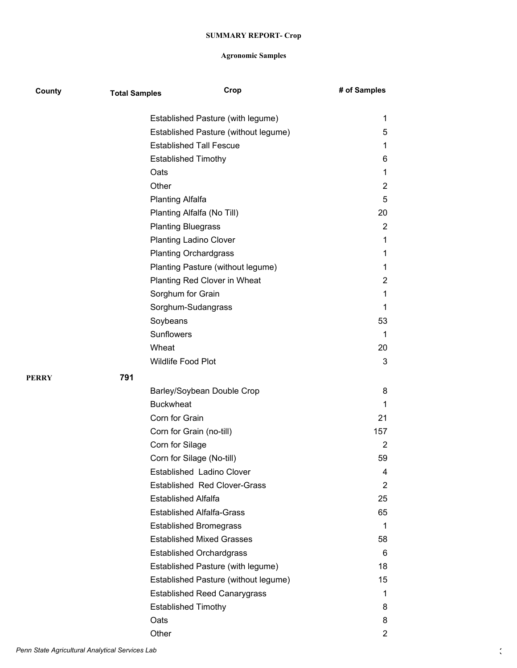| County | <b>Total Samples</b> | Crop                                 | # of Samples   |
|--------|----------------------|--------------------------------------|----------------|
|        |                      | Established Pasture (with legume)    | 1              |
|        |                      | Established Pasture (without legume) | 5              |
|        |                      | <b>Established Tall Fescue</b>       | 1              |
|        |                      | <b>Established Timothy</b>           | 6              |
|        |                      | Oats                                 | 1              |
|        |                      | Other                                | $\overline{2}$ |
|        |                      | Planting Alfalfa                     | 5              |
|        |                      | Planting Alfalfa (No Till)           | 20             |
|        |                      | <b>Planting Bluegrass</b>            | $\overline{2}$ |
|        |                      | <b>Planting Ladino Clover</b>        | 1              |
|        |                      | <b>Planting Orchardgrass</b>         | 1              |
|        |                      | Planting Pasture (without legume)    | 1              |
|        |                      | Planting Red Clover in Wheat         | $\overline{2}$ |
|        |                      | Sorghum for Grain                    | 1              |
|        |                      | Sorghum-Sudangrass                   | 1              |
|        |                      | Soybeans                             | 53             |
|        |                      | Sunflowers                           | 1              |
|        |                      | Wheat                                | 20             |
|        |                      | Wildlife Food Plot                   | 3              |
| PERRY  | 791                  |                                      |                |
|        |                      | Barley/Soybean Double Crop           | 8              |
|        |                      | <b>Buckwheat</b>                     | 1              |
|        |                      | Corn for Grain                       | 21             |
|        |                      | Corn for Grain (no-till)             | 157            |
|        |                      | Corn for Silage                      | 2              |
|        |                      | Corn for Silage (No-till)            | 59             |
|        |                      | Established Ladino Clover            | 4              |
|        |                      | <b>Established Red Clover-Grass</b>  | $\overline{2}$ |
|        |                      | <b>Established Alfalfa</b>           | 25             |
|        |                      | <b>Established Alfalfa-Grass</b>     | 65             |
|        |                      | <b>Established Bromegrass</b>        | 1              |
|        |                      | <b>Established Mixed Grasses</b>     | 58             |
|        |                      | <b>Established Orchardgrass</b>      | 6              |
|        |                      | Established Pasture (with legume)    | 18             |
|        |                      | Established Pasture (without legume) | 15             |
|        |                      | <b>Established Reed Canarygrass</b>  | 1              |
|        |                      | <b>Established Timothy</b>           | 8              |
|        |                      | Oats                                 | 8              |
|        |                      | Other                                | 2              |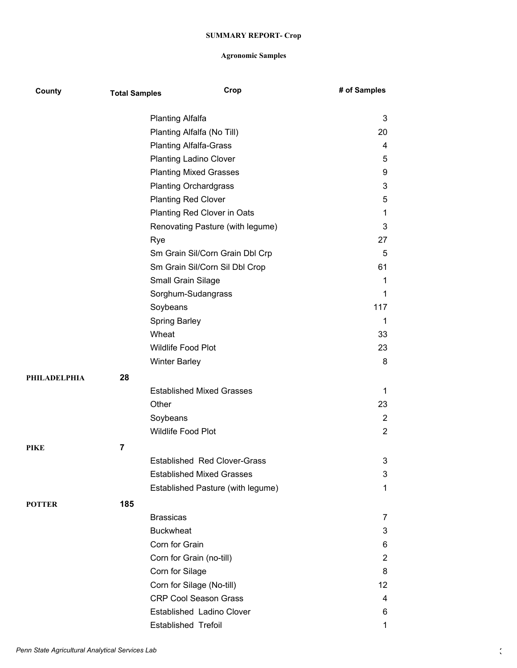| County       | <b>Total Samples</b> |                            | Crop                                | # of Samples   |
|--------------|----------------------|----------------------------|-------------------------------------|----------------|
|              |                      | <b>Planting Alfalfa</b>    |                                     | 3              |
|              |                      |                            | Planting Alfalfa (No Till)          | 20             |
|              |                      |                            | <b>Planting Alfalfa-Grass</b>       | 4              |
|              |                      |                            | <b>Planting Ladino Clover</b>       | 5              |
|              |                      |                            | <b>Planting Mixed Grasses</b>       | 9              |
|              |                      |                            | <b>Planting Orchardgrass</b>        | 3              |
|              |                      | <b>Planting Red Clover</b> |                                     | 5              |
|              |                      |                            | Planting Red Clover in Oats         | 1              |
|              |                      |                            | Renovating Pasture (with legume)    | 3              |
|              |                      | Rye                        |                                     | 27             |
|              |                      |                            | Sm Grain Sil/Corn Grain Dbl Crp     | 5              |
|              |                      |                            | Sm Grain Sil/Corn Sil Dbl Crop      | 61             |
|              |                      | Small Grain Silage         |                                     | 1              |
|              |                      |                            | Sorghum-Sudangrass                  | 1              |
|              |                      | Soybeans                   |                                     | 117            |
|              |                      | <b>Spring Barley</b>       |                                     | 1              |
|              |                      | Wheat                      |                                     | 33             |
|              |                      | Wildlife Food Plot         |                                     | 23             |
|              |                      | <b>Winter Barley</b>       |                                     | 8              |
| PHILADELPHIA | 28                   |                            |                                     |                |
|              |                      |                            | <b>Established Mixed Grasses</b>    | 1              |
|              |                      | Other                      |                                     | 23             |
|              |                      | Soybeans                   |                                     | $\overline{2}$ |
|              |                      | Wildlife Food Plot         |                                     | $\overline{2}$ |
| PIKE         | $\overline{7}$       |                            |                                     |                |
|              |                      |                            | <b>Established Red Clover-Grass</b> | 3              |
|              |                      |                            | <b>Established Mixed Grasses</b>    | 3              |
|              |                      |                            | Established Pasture (with legume)   | 1              |
| POTTER       | 185                  |                            |                                     |                |
|              |                      | <b>Brassicas</b>           |                                     | 7              |
|              |                      | <b>Buckwheat</b>           |                                     | 3              |
|              |                      | Corn for Grain             |                                     | 6              |
|              |                      |                            | Corn for Grain (no-till)            | $\overline{2}$ |
|              |                      | Corn for Silage            |                                     | 8              |
|              |                      |                            | Corn for Silage (No-till)           | 12             |
|              |                      |                            | <b>CRP Cool Season Grass</b>        | 4              |
|              |                      |                            | Established Ladino Clover           | 6              |
|              |                      | Established Trefoil        |                                     | 1              |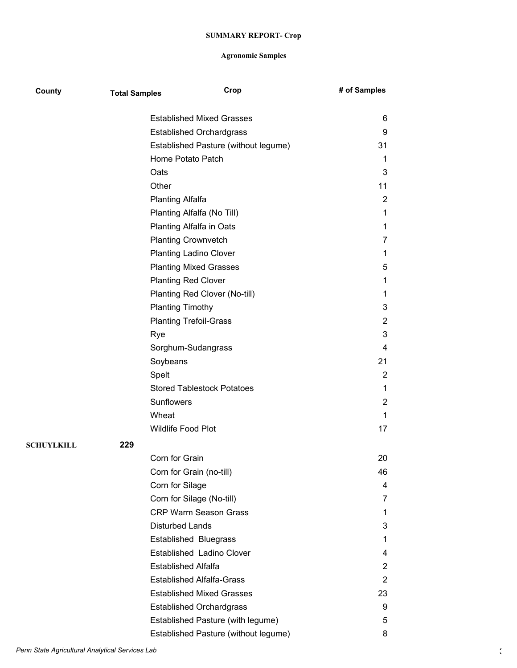| County            | <b>Total Samples</b> | Crop                                 | # of Samples   |
|-------------------|----------------------|--------------------------------------|----------------|
|                   |                      | <b>Established Mixed Grasses</b>     | 6              |
|                   |                      | <b>Established Orchardgrass</b>      | 9              |
|                   |                      | Established Pasture (without legume) | 31             |
|                   |                      | Home Potato Patch                    | 1              |
|                   |                      | Oats                                 | 3              |
|                   |                      | Other                                | 11             |
|                   |                      | <b>Planting Alfalfa</b>              | 2              |
|                   |                      | Planting Alfalfa (No Till)           | 1              |
|                   |                      | Planting Alfalfa in Oats             | $\mathbf 1$    |
|                   |                      | <b>Planting Crownvetch</b>           | 7              |
|                   |                      | <b>Planting Ladino Clover</b>        | 1              |
|                   |                      | <b>Planting Mixed Grasses</b>        | 5              |
|                   |                      | <b>Planting Red Clover</b>           | 1              |
|                   |                      | Planting Red Clover (No-till)        | 1              |
|                   |                      | <b>Planting Timothy</b>              | 3              |
|                   |                      | <b>Planting Trefoil-Grass</b>        | $\overline{c}$ |
|                   |                      | Rye                                  | 3              |
|                   |                      | Sorghum-Sudangrass                   | 4              |
|                   |                      | Soybeans                             | 21             |
|                   |                      | Spelt                                | 2              |
|                   |                      | <b>Stored Tablestock Potatoes</b>    | 1              |
|                   |                      | <b>Sunflowers</b>                    | $\overline{2}$ |
|                   |                      | Wheat                                | 1              |
|                   |                      | Wildlife Food Plot                   | 17             |
| <b>SCHUYLKILL</b> | 229                  |                                      |                |
|                   |                      | Corn for Grain                       | 20             |
|                   |                      | Corn for Grain (no-till)             | 46             |
|                   |                      | Corn for Silage                      | 4              |
|                   |                      | Corn for Silage (No-till)            | 7              |
|                   |                      | <b>CRP Warm Season Grass</b>         | 1              |
|                   |                      | <b>Disturbed Lands</b>               | 3              |
|                   |                      | <b>Established Bluegrass</b>         | 1              |
|                   |                      | Established Ladino Clover            | 4              |
|                   |                      | <b>Established Alfalfa</b>           | $\overline{2}$ |
|                   |                      | <b>Established Alfalfa-Grass</b>     | 2              |
|                   |                      | <b>Established Mixed Grasses</b>     | 23             |
|                   |                      | <b>Established Orchardgrass</b>      | 9              |
|                   |                      | Established Pasture (with legume)    | 5              |
|                   |                      | Established Pasture (without legume) | 8              |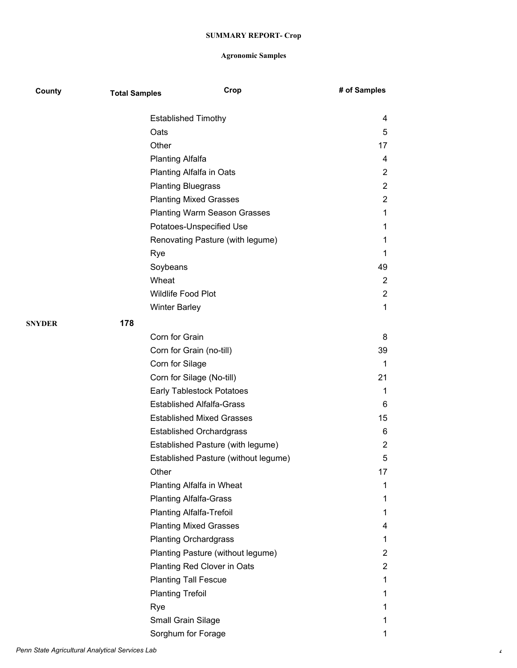| County        | <b>Total Samples</b> | Crop                                 | # of Samples   |
|---------------|----------------------|--------------------------------------|----------------|
|               |                      | <b>Established Timothy</b>           | 4              |
|               |                      | Oats                                 | 5              |
|               |                      | Other                                | 17             |
|               |                      | <b>Planting Alfalfa</b>              | 4              |
|               |                      | Planting Alfalfa in Oats             | $\overline{2}$ |
|               |                      | <b>Planting Bluegrass</b>            | $\overline{2}$ |
|               |                      | <b>Planting Mixed Grasses</b>        | $\overline{2}$ |
|               |                      | <b>Planting Warm Season Grasses</b>  | 1              |
|               |                      | Potatoes-Unspecified Use             | 1              |
|               |                      | Renovating Pasture (with legume)     | 1              |
|               |                      | Rye                                  | 1              |
|               |                      | Soybeans                             | 49             |
|               |                      | Wheat                                | $\overline{2}$ |
|               |                      | <b>Wildlife Food Plot</b>            | $\overline{2}$ |
|               |                      | <b>Winter Barley</b>                 | $\mathbf 1$    |
| <b>SNYDER</b> | 178                  |                                      |                |
|               |                      | Corn for Grain                       | 8              |
|               |                      | Corn for Grain (no-till)             | 39             |
|               |                      | Corn for Silage                      | 1              |
|               |                      | Corn for Silage (No-till)            | 21             |
|               |                      | Early Tablestock Potatoes            | 1              |
|               |                      | <b>Established Alfalfa-Grass</b>     | 6              |
|               |                      | <b>Established Mixed Grasses</b>     | 15             |
|               |                      | <b>Established Orchardgrass</b>      | 6              |
|               |                      | Established Pasture (with legume)    | $\overline{2}$ |
|               |                      | Established Pasture (without legume) | 5              |
|               |                      | Other                                | 17             |
|               |                      | Planting Alfalfa in Wheat            | 1              |
|               |                      | <b>Planting Alfalfa-Grass</b>        | 1              |
|               |                      | <b>Planting Alfalfa-Trefoil</b>      | 1              |
|               |                      | <b>Planting Mixed Grasses</b>        | 4              |
|               |                      | <b>Planting Orchardgrass</b>         | 1              |
|               |                      | Planting Pasture (without legume)    | 2              |
|               |                      | Planting Red Clover in Oats          | $\overline{2}$ |
|               |                      | <b>Planting Tall Fescue</b>          | 1              |
|               |                      | <b>Planting Trefoil</b>              | 1              |
|               |                      | Rye                                  | 1              |
|               |                      | Small Grain Silage                   | 1              |
|               |                      | Sorghum for Forage                   | 1              |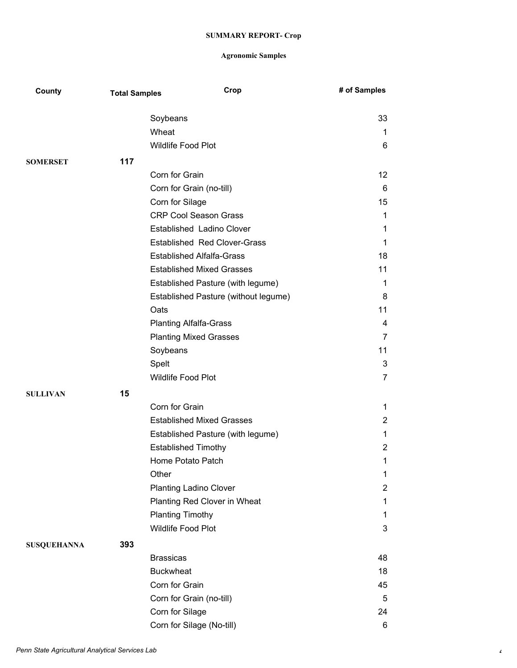| County             | <b>Total Samples</b> | Crop                                 | # of Samples   |
|--------------------|----------------------|--------------------------------------|----------------|
|                    |                      | Soybeans                             | 33             |
|                    |                      | Wheat                                | $\mathbf{1}$   |
|                    |                      | Wildlife Food Plot                   | 6              |
| <b>SOMERSET</b>    | 117                  |                                      |                |
|                    |                      | Corn for Grain                       | 12             |
|                    |                      | Corn for Grain (no-till)             | 6              |
|                    |                      | Corn for Silage                      | 15             |
|                    |                      | <b>CRP Cool Season Grass</b>         | $\mathbf{1}$   |
|                    |                      | Established Ladino Clover            | $\mathbf{1}$   |
|                    |                      | <b>Established Red Clover-Grass</b>  | $\mathbf{1}$   |
|                    |                      | <b>Established Alfalfa-Grass</b>     | 18             |
|                    |                      | <b>Established Mixed Grasses</b>     | 11             |
|                    |                      | Established Pasture (with legume)    | 1              |
|                    |                      | Established Pasture (without legume) | 8              |
|                    |                      | Oats                                 | 11             |
|                    |                      | <b>Planting Alfalfa-Grass</b>        | 4              |
|                    |                      | <b>Planting Mixed Grasses</b>        | $\overline{7}$ |
|                    |                      | Soybeans                             | 11             |
|                    |                      | Spelt                                | $\sqrt{3}$     |
|                    |                      | Wildlife Food Plot                   | $\overline{7}$ |
| <b>SULLIVAN</b>    | 15                   |                                      |                |
|                    |                      | Corn for Grain                       | $\mathbf{1}$   |
|                    |                      | <b>Established Mixed Grasses</b>     | $\overline{2}$ |
|                    |                      | Established Pasture (with legume)    | $\mathbf 1$    |
|                    |                      | <b>Established Timothy</b>           | $\overline{2}$ |
|                    |                      | Home Potato Patch                    | 1              |
|                    |                      | Other                                | 1              |
|                    |                      | <b>Planting Ladino Clover</b>        | $\overline{2}$ |
|                    |                      | Planting Red Clover in Wheat         | $\mathbf 1$    |
|                    |                      | <b>Planting Timothy</b>              | $\mathbf{1}$   |
|                    |                      | Wildlife Food Plot                   | 3              |
| <b>SUSQUEHANNA</b> | 393                  |                                      |                |
|                    |                      | <b>Brassicas</b>                     | 48             |
|                    |                      | <b>Buckwheat</b>                     | 18             |
|                    |                      | Corn for Grain                       | 45             |
|                    |                      | Corn for Grain (no-till)             | 5              |
|                    |                      | Corn for Silage                      | 24             |
|                    |                      | Corn for Silage (No-till)            | $\,6$          |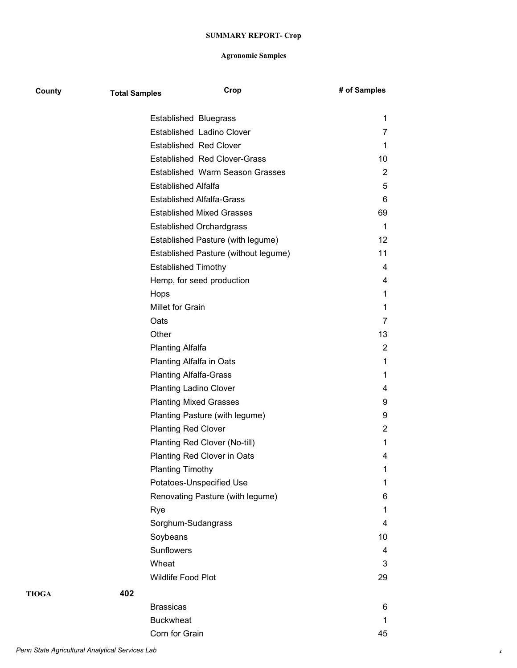| County       | <b>Total Samples</b> | Crop                                 | # of Samples   |
|--------------|----------------------|--------------------------------------|----------------|
|              |                      | Established Bluegrass                | 1              |
|              |                      | Established Ladino Clover            | 7              |
|              |                      | <b>Established Red Clover</b>        | 1              |
|              |                      | <b>Established Red Clover-Grass</b>  | 10             |
|              |                      | Established Warm Season Grasses      | 2              |
|              |                      | <b>Established Alfalfa</b>           | 5              |
|              |                      | <b>Established Alfalfa-Grass</b>     | 6              |
|              |                      | <b>Established Mixed Grasses</b>     | 69             |
|              |                      | <b>Established Orchardgrass</b>      | 1              |
|              |                      | Established Pasture (with legume)    | 12             |
|              |                      | Established Pasture (without legume) | 11             |
|              |                      | <b>Established Timothy</b>           | 4              |
|              |                      | Hemp, for seed production            | 4              |
|              |                      | Hops                                 | 1              |
|              |                      | Millet for Grain                     | 1              |
|              |                      | Oats                                 | 7              |
|              |                      | Other                                | 13             |
|              |                      | <b>Planting Alfalfa</b>              | 2              |
|              |                      | Planting Alfalfa in Oats             | 1              |
|              |                      | <b>Planting Alfalfa-Grass</b>        | 1              |
|              |                      | <b>Planting Ladino Clover</b>        | 4              |
|              |                      | <b>Planting Mixed Grasses</b>        | 9              |
|              |                      | Planting Pasture (with legume)       | 9              |
|              |                      | <b>Planting Red Clover</b>           | $\overline{2}$ |
|              |                      | Planting Red Clover (No-till)        | 1              |
|              |                      | Planting Red Clover in Oats          | 4              |
|              |                      | <b>Planting Timothy</b>              | 1              |
|              |                      | Potatoes-Unspecified Use             | 1              |
|              |                      | Renovating Pasture (with legume)     | 6              |
|              |                      | Rye                                  | 1              |
|              |                      | Sorghum-Sudangrass                   | 4              |
|              |                      | Soybeans                             | 10             |
|              |                      | Sunflowers                           | 4              |
|              |                      | Wheat                                | 3              |
|              |                      | Wildlife Food Plot                   | 29             |
| <b>TIOGA</b> | 402                  |                                      |                |
|              |                      | <b>Brassicas</b>                     | 6              |
|              |                      | <b>Buckwheat</b>                     | 1              |
|              |                      | Corn for Grain                       | 45             |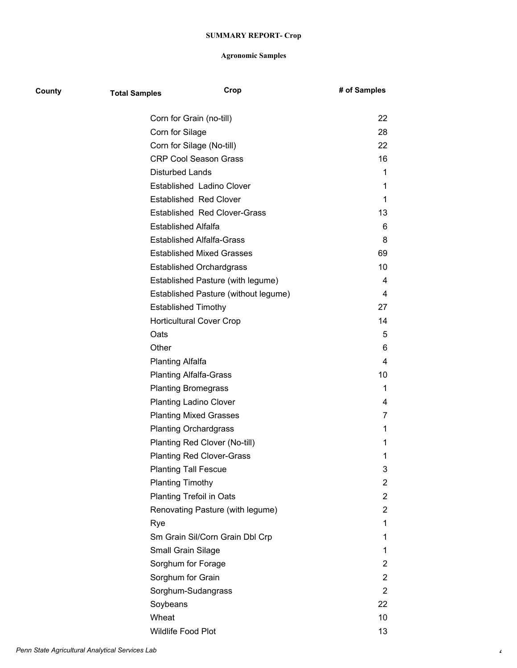| County | <b>Total Samples</b>            | Crop                                 | # of Samples   |
|--------|---------------------------------|--------------------------------------|----------------|
|        | Corn for Grain (no-till)        |                                      | 22             |
|        | Corn for Silage                 |                                      | 28             |
|        | Corn for Silage (No-till)       |                                      | 22             |
|        |                                 | <b>CRP Cool Season Grass</b>         | 16             |
|        | <b>Disturbed Lands</b>          |                                      | 1              |
|        |                                 | Established Ladino Clover            | 1              |
|        |                                 | <b>Established Red Clover</b>        | 1              |
|        |                                 | <b>Established Red Clover-Grass</b>  | 13             |
|        | Established Alfalfa             |                                      | 6              |
|        |                                 | <b>Established Alfalfa-Grass</b>     | 8              |
|        |                                 | <b>Established Mixed Grasses</b>     | 69             |
|        |                                 | <b>Established Orchardgrass</b>      | 10             |
|        |                                 | Established Pasture (with legume)    | 4              |
|        |                                 | Established Pasture (without legume) | 4              |
|        | <b>Established Timothy</b>      |                                      | 27             |
|        |                                 | <b>Horticultural Cover Crop</b>      | 14             |
|        | Oats                            |                                      | 5              |
|        | Other                           |                                      | 6              |
|        | <b>Planting Alfalfa</b>         |                                      | 4              |
|        | <b>Planting Alfalfa-Grass</b>   |                                      | 10             |
|        | <b>Planting Bromegrass</b>      |                                      | $\mathbf 1$    |
|        | <b>Planting Ladino Clover</b>   |                                      | 4              |
|        |                                 | <b>Planting Mixed Grasses</b>        | 7              |
|        | <b>Planting Orchardgrass</b>    |                                      | 1              |
|        |                                 | Planting Red Clover (No-till)        | 1              |
|        |                                 | <b>Planting Red Clover-Grass</b>     | 1              |
|        | <b>Planting Tall Fescue</b>     |                                      | 3              |
|        | <b>Planting Timothy</b>         |                                      | $\overline{c}$ |
|        | <b>Planting Trefoil in Oats</b> |                                      | $\overline{c}$ |
|        |                                 | Renovating Pasture (with legume)     | $\overline{2}$ |
|        | Rye                             |                                      | 1              |
|        |                                 | Sm Grain Sil/Corn Grain Dbl Crp      | 1              |
|        | Small Grain Silage              |                                      | 1              |
|        | Sorghum for Forage              |                                      | $\overline{c}$ |
|        | Sorghum for Grain               |                                      | $\overline{c}$ |
|        | Sorghum-Sudangrass              |                                      | $\overline{2}$ |
|        | Soybeans                        |                                      | 22             |
|        | Wheat                           |                                      | 10             |
|        | Wildlife Food Plot              |                                      | 13             |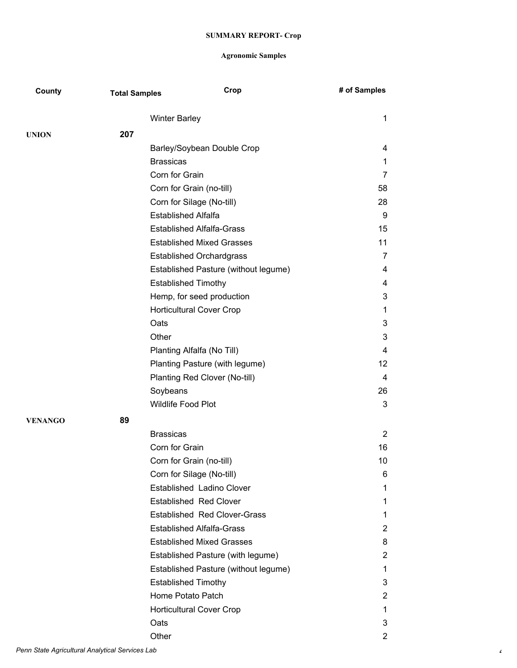| County         | <b>Total Samples</b> | Crop                                 | # of Samples      |
|----------------|----------------------|--------------------------------------|-------------------|
|                |                      | <b>Winter Barley</b>                 | $\mathbf{1}$      |
| <b>UNION</b>   | 207                  |                                      |                   |
|                |                      | Barley/Soybean Double Crop           | 4                 |
|                |                      | <b>Brassicas</b>                     | $\mathbf{1}$      |
|                |                      | Corn for Grain                       | $\overline{7}$    |
|                |                      | Corn for Grain (no-till)             | 58                |
|                |                      | Corn for Silage (No-till)            | 28                |
|                |                      | <b>Established Alfalfa</b>           | 9                 |
|                |                      | <b>Established Alfalfa-Grass</b>     | 15                |
|                |                      | <b>Established Mixed Grasses</b>     | 11                |
|                |                      | <b>Established Orchardgrass</b>      | $\overline{7}$    |
|                |                      | Established Pasture (without legume) | 4                 |
|                |                      | <b>Established Timothy</b>           | 4                 |
|                |                      | Hemp, for seed production            | 3                 |
|                |                      | <b>Horticultural Cover Crop</b>      | $\mathbf{1}$      |
|                |                      | Oats                                 | 3                 |
|                |                      | Other                                | 3                 |
|                |                      | Planting Alfalfa (No Till)           | 4                 |
|                |                      | Planting Pasture (with legume)       | $12 \overline{ }$ |
|                |                      | Planting Red Clover (No-till)        | $\overline{4}$    |
|                |                      | Soybeans                             | 26                |
|                |                      | Wildlife Food Plot                   | 3                 |
| <b>VENANGO</b> | 89                   |                                      |                   |
|                |                      | <b>Brassicas</b>                     | $\overline{2}$    |
|                |                      | Corn for Grain                       | 16                |
|                |                      | Corn for Grain (no-till)             | 10                |
|                |                      | Corn for Silage (No-till)            | 6                 |
|                |                      | Established Ladino Clover            | 1                 |
|                |                      | <b>Established Red Clover</b>        | 1                 |
|                |                      | <b>Established Red Clover-Grass</b>  | 1                 |
|                |                      | <b>Established Alfalfa-Grass</b>     | $\overline{2}$    |
|                |                      | <b>Established Mixed Grasses</b>     | 8                 |
|                |                      | Established Pasture (with legume)    | $\overline{2}$    |
|                |                      | Established Pasture (without legume) | 1                 |
|                |                      | <b>Established Timothy</b>           | 3                 |
|                |                      | Home Potato Patch                    | $\overline{2}$    |
|                |                      | <b>Horticultural Cover Crop</b>      | 1                 |
|                |                      | Oats                                 | 3                 |
|                |                      | Other                                | $\overline{2}$    |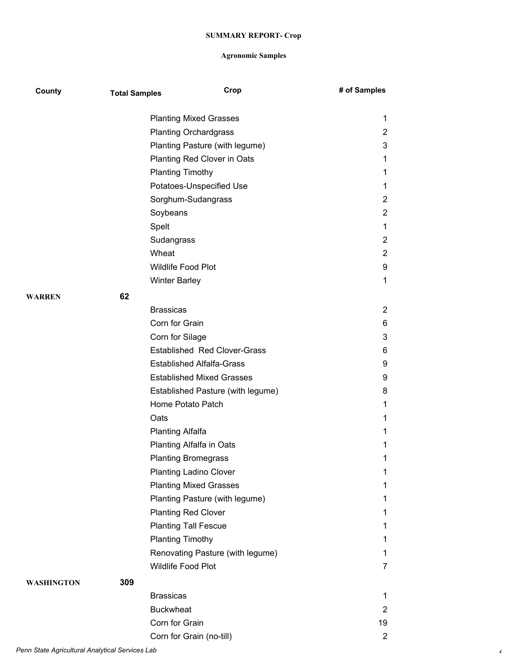| County        | <b>Total Samples</b> | Crop                                | # of Samples   |
|---------------|----------------------|-------------------------------------|----------------|
|               |                      | <b>Planting Mixed Grasses</b>       | 1              |
|               |                      | <b>Planting Orchardgrass</b>        | $\overline{c}$ |
|               |                      | Planting Pasture (with legume)      | 3              |
|               |                      | Planting Red Clover in Oats         | 1              |
|               |                      | <b>Planting Timothy</b>             | 1              |
|               |                      | Potatoes-Unspecified Use            | 1              |
|               |                      | Sorghum-Sudangrass                  | $\overline{2}$ |
|               |                      | Soybeans                            | $\overline{2}$ |
|               |                      | Spelt                               | 1              |
|               |                      | Sudangrass                          | $\overline{2}$ |
|               |                      | Wheat                               | $\overline{2}$ |
|               |                      | <b>Wildlife Food Plot</b>           | 9              |
|               |                      | <b>Winter Barley</b>                | 1              |
| <b>WARREN</b> | 62                   |                                     |                |
|               |                      | <b>Brassicas</b>                    | 2              |
|               |                      | Corn for Grain                      | 6              |
|               |                      | Corn for Silage                     | 3              |
|               |                      | <b>Established Red Clover-Grass</b> | 6              |
|               |                      | <b>Established Alfalfa-Grass</b>    | 9              |
|               |                      | <b>Established Mixed Grasses</b>    | 9              |
|               |                      | Established Pasture (with legume)   | 8              |
|               |                      | Home Potato Patch                   | $\mathbf 1$    |
|               |                      | Oats                                | 1              |
|               |                      | <b>Planting Alfalfa</b>             | 1              |
|               |                      | Planting Alfalfa in Oats            | 1              |
|               |                      | <b>Planting Bromegrass</b>          | 1              |
|               |                      | <b>Planting Ladino Clover</b>       | 1              |
|               |                      | <b>Planting Mixed Grasses</b>       | 1              |
|               |                      | Planting Pasture (with legume)      | 1              |
|               |                      | <b>Planting Red Clover</b>          | 1              |
|               |                      | <b>Planting Tall Fescue</b>         | 1              |
|               |                      | <b>Planting Timothy</b>             | 1              |
|               |                      | Renovating Pasture (with legume)    | 1              |
|               |                      | Wildlife Food Plot                  | $\overline{7}$ |
| WASHINGTON    | 309                  |                                     |                |
|               |                      | <b>Brassicas</b>                    | $\mathbf{1}$   |
|               |                      | <b>Buckwheat</b>                    | $\overline{2}$ |
|               |                      | Corn for Grain                      | 19             |
|               |                      | Corn for Grain (no-till)            | $\overline{2}$ |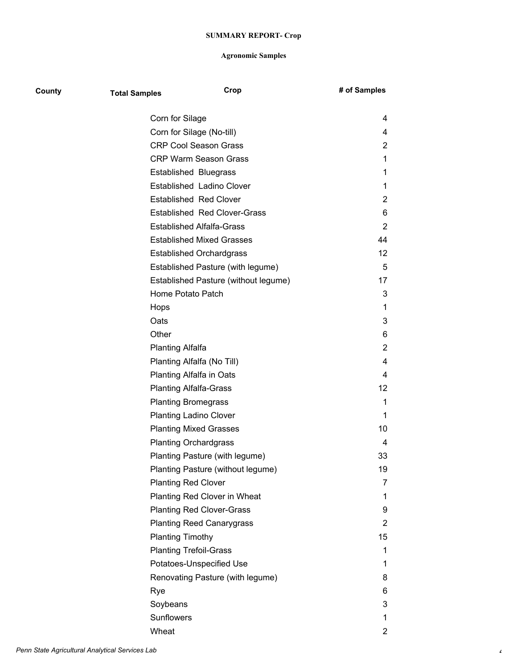| County | <b>Total Samples</b>          | Crop                                 | # of Samples   |
|--------|-------------------------------|--------------------------------------|----------------|
|        | Corn for Silage               |                                      | 4              |
|        | Corn for Silage (No-till)     |                                      | 4              |
|        |                               | <b>CRP Cool Season Grass</b>         | $\overline{2}$ |
|        |                               | <b>CRP Warm Season Grass</b>         | 1              |
|        |                               | <b>Established Bluegrass</b>         | 1              |
|        |                               | Established Ladino Clover            | 1              |
|        |                               | <b>Established Red Clover</b>        | $\overline{2}$ |
|        |                               | <b>Established Red Clover-Grass</b>  | 6              |
|        |                               | <b>Established Alfalfa-Grass</b>     | 2              |
|        |                               | <b>Established Mixed Grasses</b>     | 44             |
|        |                               | <b>Established Orchardgrass</b>      | 12             |
|        |                               | Established Pasture (with legume)    | 5              |
|        |                               | Established Pasture (without legume) | 17             |
|        | Home Potato Patch             |                                      | 3              |
|        | Hops                          |                                      | 1              |
|        | Oats                          |                                      | 3              |
|        | Other                         |                                      | 6              |
|        | <b>Planting Alfalfa</b>       |                                      | $\overline{2}$ |
|        |                               | Planting Alfalfa (No Till)           | 4              |
|        |                               | Planting Alfalfa in Oats             | 4              |
|        | <b>Planting Alfalfa-Grass</b> |                                      | 12             |
|        | <b>Planting Bromegrass</b>    |                                      | 1              |
|        |                               | <b>Planting Ladino Clover</b>        | 1              |
|        |                               | <b>Planting Mixed Grasses</b>        | 10             |
|        |                               | <b>Planting Orchardgrass</b>         | 4              |
|        |                               | Planting Pasture (with legume)       | 33             |
|        |                               | Planting Pasture (without legume)    | 19             |
|        | <b>Planting Red Clover</b>    |                                      | 7              |
|        |                               | Planting Red Clover in Wheat         | 1              |
|        |                               | <b>Planting Red Clover-Grass</b>     | 9              |
|        |                               | <b>Planting Reed Canarygrass</b>     | $\overline{2}$ |
|        | <b>Planting Timothy</b>       |                                      | 15             |
|        | <b>Planting Trefoil-Grass</b> |                                      | 1              |
|        |                               | Potatoes-Unspecified Use             | 1              |
|        |                               | Renovating Pasture (with legume)     | 8              |
|        | Rye                           |                                      | 6              |
|        | Soybeans                      |                                      | 3              |
|        | Sunflowers                    |                                      | 1              |
|        | Wheat                         |                                      | $\overline{c}$ |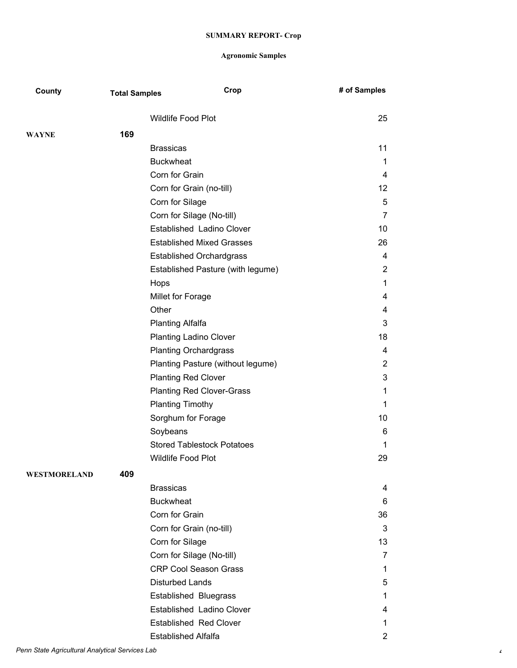| County       | <b>Total Samples</b> |                            | Crop                              | # of Samples            |
|--------------|----------------------|----------------------------|-----------------------------------|-------------------------|
|              |                      | <b>Wildlife Food Plot</b>  |                                   | 25                      |
| <b>WAYNE</b> | 169                  |                            |                                   |                         |
|              |                      | <b>Brassicas</b>           |                                   | 11                      |
|              |                      | <b>Buckwheat</b>           |                                   | $\mathbf{1}$            |
|              |                      | Corn for Grain             |                                   | $\overline{\mathbf{4}}$ |
|              |                      |                            | Corn for Grain (no-till)          | 12                      |
|              |                      | Corn for Silage            |                                   | 5                       |
|              |                      |                            | Corn for Silage (No-till)         | $\overline{7}$          |
|              |                      |                            | Established Ladino Clover         | 10                      |
|              |                      |                            | <b>Established Mixed Grasses</b>  | 26                      |
|              |                      |                            | <b>Established Orchardgrass</b>   | $\overline{\mathbf{4}}$ |
|              |                      |                            | Established Pasture (with legume) | $\overline{2}$          |
|              |                      | Hops                       |                                   | $\mathbf{1}$            |
|              |                      | Millet for Forage          |                                   | 4                       |
|              |                      | Other                      |                                   | 4                       |
|              |                      | <b>Planting Alfalfa</b>    |                                   | 3                       |
|              |                      |                            | <b>Planting Ladino Clover</b>     | 18                      |
|              |                      |                            | <b>Planting Orchardgrass</b>      | 4                       |
|              |                      |                            | Planting Pasture (without legume) | $\overline{2}$          |
|              |                      |                            | <b>Planting Red Clover</b>        | 3                       |
|              |                      |                            | <b>Planting Red Clover-Grass</b>  | 1                       |
|              |                      | <b>Planting Timothy</b>    |                                   | $\mathbf{1}$            |
|              |                      |                            | Sorghum for Forage                | 10                      |
|              |                      | Soybeans                   |                                   | 6                       |
|              |                      |                            | <b>Stored Tablestock Potatoes</b> | $\mathbf 1$             |
|              |                      | <b>Wildlife Food Plot</b>  |                                   | 29                      |
| WESTMORELAND | 409                  |                            |                                   |                         |
|              |                      | <b>Brassicas</b>           |                                   | 4                       |
|              |                      | <b>Buckwheat</b>           |                                   | 6                       |
|              |                      | Corn for Grain             |                                   | 36                      |
|              |                      |                            | Corn for Grain (no-till)          | 3                       |
|              |                      | Corn for Silage            |                                   | 13                      |
|              |                      |                            | Corn for Silage (No-till)         | 7                       |
|              |                      |                            | <b>CRP Cool Season Grass</b>      | $\mathbf 1$             |
|              |                      | <b>Disturbed Lands</b>     |                                   | 5                       |
|              |                      |                            | Established Bluegrass             | $\mathbf 1$             |
|              |                      |                            | Established Ladino Clover         | 4                       |
|              |                      |                            | <b>Established Red Clover</b>     | 1                       |
|              |                      | <b>Established Alfalfa</b> |                                   | $\overline{2}$          |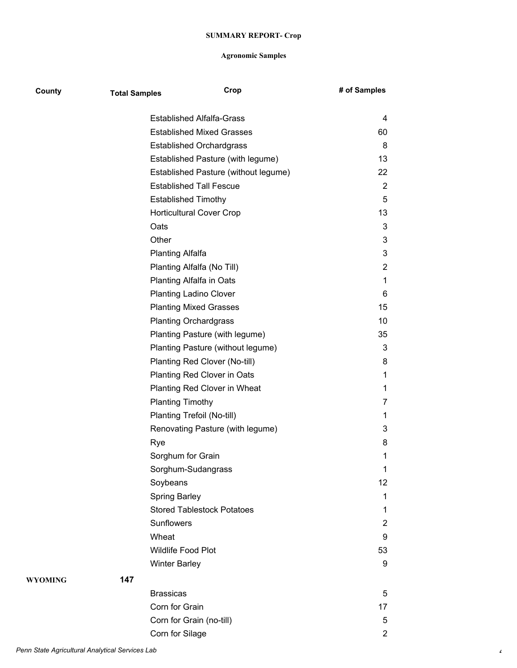| County  | <b>Total Samples</b> |                                   | Crop                                 | # of Samples   |
|---------|----------------------|-----------------------------------|--------------------------------------|----------------|
|         |                      | <b>Established Alfalfa-Grass</b>  |                                      | 4              |
|         |                      | <b>Established Mixed Grasses</b>  |                                      | 60             |
|         |                      | <b>Established Orchardgrass</b>   |                                      | 8              |
|         |                      |                                   | Established Pasture (with legume)    | 13             |
|         |                      |                                   | Established Pasture (without legume) | 22             |
|         |                      | <b>Established Tall Fescue</b>    |                                      | 2              |
|         |                      | <b>Established Timothy</b>        |                                      | 5              |
|         |                      | <b>Horticultural Cover Crop</b>   |                                      | 13             |
|         |                      | Oats                              |                                      | $\mathbf{3}$   |
|         |                      | Other                             |                                      | 3              |
|         |                      | <b>Planting Alfalfa</b>           |                                      | 3              |
|         |                      | Planting Alfalfa (No Till)        |                                      | $\overline{2}$ |
|         |                      | Planting Alfalfa in Oats          |                                      | $\mathbf 1$    |
|         |                      | <b>Planting Ladino Clover</b>     |                                      | 6              |
|         |                      | <b>Planting Mixed Grasses</b>     |                                      | 15             |
|         |                      | <b>Planting Orchardgrass</b>      |                                      | 10             |
|         |                      |                                   | Planting Pasture (with legume)       | 35             |
|         |                      |                                   | Planting Pasture (without legume)    | $\mathbf{3}$   |
|         |                      | Planting Red Clover (No-till)     |                                      | 8              |
|         |                      | Planting Red Clover in Oats       |                                      | 1              |
|         |                      |                                   | Planting Red Clover in Wheat         | 1              |
|         |                      | <b>Planting Timothy</b>           |                                      | 7              |
|         |                      | Planting Trefoil (No-till)        |                                      | 1              |
|         |                      |                                   | Renovating Pasture (with legume)     | 3              |
|         |                      | Rye                               |                                      | 8              |
|         |                      | Sorghum for Grain                 |                                      | 1              |
|         |                      | Sorghum-Sudangrass                |                                      | 1              |
|         |                      | Soybeans                          |                                      | 12             |
|         |                      | <b>Spring Barley</b>              |                                      | 1              |
|         |                      | <b>Stored Tablestock Potatoes</b> |                                      | 1              |
|         |                      | Sunflowers                        |                                      | $\overline{2}$ |
|         |                      | Wheat                             |                                      | 9              |
|         |                      | Wildlife Food Plot                |                                      | 53             |
|         |                      | <b>Winter Barley</b>              |                                      | 9              |
| WYOMING | 147                  |                                   |                                      |                |
|         |                      | <b>Brassicas</b>                  |                                      | 5              |
|         |                      | Corn for Grain                    |                                      | 17             |
|         |                      | Corn for Grain (no-till)          |                                      | 5              |
|         |                      | Corn for Silage                   |                                      | $\overline{2}$ |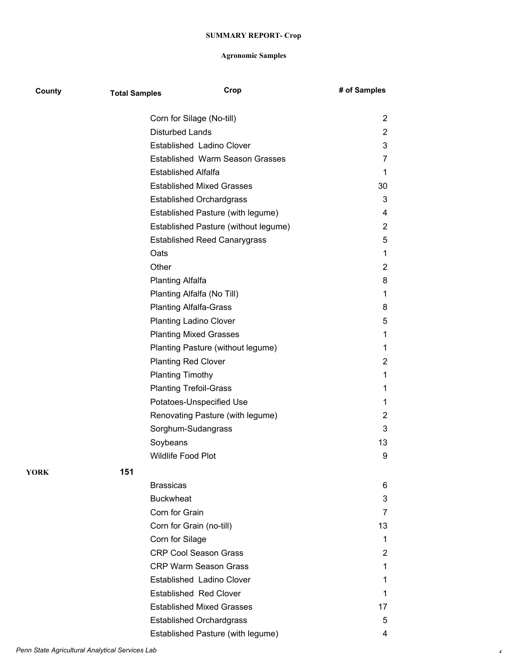| County | <b>Total Samples</b> | Crop                                   | # of Samples   |
|--------|----------------------|----------------------------------------|----------------|
|        |                      | Corn for Silage (No-till)              | 2              |
|        |                      | <b>Disturbed Lands</b>                 | $\overline{2}$ |
|        |                      | Established Ladino Clover              | 3              |
|        |                      | <b>Established Warm Season Grasses</b> | 7              |
|        |                      | <b>Established Alfalfa</b>             | 1              |
|        |                      | <b>Established Mixed Grasses</b>       | 30             |
|        |                      | <b>Established Orchardgrass</b>        | 3              |
|        |                      | Established Pasture (with legume)      | 4              |
|        |                      | Established Pasture (without legume)   | 2              |
|        |                      | <b>Established Reed Canarygrass</b>    | 5              |
|        |                      | Oats                                   | 1              |
|        |                      | Other                                  | 2              |
|        |                      | <b>Planting Alfalfa</b>                | 8              |
|        |                      | Planting Alfalfa (No Till)             | 1              |
|        |                      | <b>Planting Alfalfa-Grass</b>          | 8              |
|        |                      | <b>Planting Ladino Clover</b>          | 5              |
|        |                      | <b>Planting Mixed Grasses</b>          | 1              |
|        |                      | Planting Pasture (without legume)      | 1              |
|        |                      | <b>Planting Red Clover</b>             | 2              |
|        |                      | <b>Planting Timothy</b>                | 1              |
|        |                      | <b>Planting Trefoil-Grass</b>          | 1              |
|        |                      | Potatoes-Unspecified Use               | 1              |
|        |                      | Renovating Pasture (with legume)       | $\overline{2}$ |
|        |                      | Sorghum-Sudangrass                     | 3              |
|        |                      | Soybeans                               | 13             |
|        |                      | Wildlife Food Plot                     | 9              |
| YORK   | 151                  |                                        |                |
|        |                      | <b>Brassicas</b>                       | 6              |
|        |                      | <b>Buckwheat</b>                       | 3              |
|        |                      | Corn for Grain                         | 7              |
|        |                      | Corn for Grain (no-till)               | 13             |
|        |                      | Corn for Silage                        | 1              |
|        |                      | <b>CRP Cool Season Grass</b>           | 2              |
|        |                      | <b>CRP Warm Season Grass</b>           | 1              |
|        |                      | Established Ladino Clover              | 1              |
|        |                      | <b>Established Red Clover</b>          | 1              |
|        |                      | <b>Established Mixed Grasses</b>       | 17             |
|        |                      | <b>Established Orchardgrass</b>        | 5              |
|        |                      | Established Pasture (with legume)      | 4              |